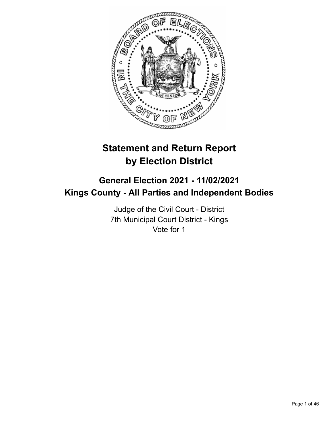

# **Statement and Return Report by Election District**

# **General Election 2021 - 11/02/2021 Kings County - All Parties and Independent Bodies**

Judge of the Civil Court - District 7th Municipal Court District - Kings Vote for 1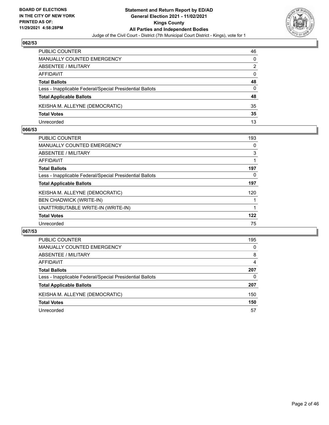

| <b>PUBLIC COUNTER</b>                                    | 46 |
|----------------------------------------------------------|----|
| <b>MANUALLY COUNTED EMERGENCY</b>                        | 0  |
| ABSENTEE / MILITARY                                      | 2  |
| AFFIDAVIT                                                | 0  |
| <b>Total Ballots</b>                                     | 48 |
| Less - Inapplicable Federal/Special Presidential Ballots | 0  |
| <b>Total Applicable Ballots</b>                          | 48 |
| KEISHA M. ALLEYNE (DEMOCRATIC)                           | 35 |
| <b>Total Votes</b>                                       | 35 |
| Unrecorded                                               | 13 |

### **066/53**

| 193 |
|-----|
| 0   |
| 3   |
| 1   |
| 197 |
| 0   |
| 197 |
| 120 |
|     |
|     |
| 122 |
| 75  |
|     |

| PUBLIC COUNTER                                           | 195      |
|----------------------------------------------------------|----------|
| <b>MANUALLY COUNTED EMERGENCY</b>                        | $\Omega$ |
| ABSENTEE / MILITARY                                      | 8        |
| AFFIDAVIT                                                | 4        |
| <b>Total Ballots</b>                                     | 207      |
| Less - Inapplicable Federal/Special Presidential Ballots | 0        |
| <b>Total Applicable Ballots</b>                          | 207      |
| KEISHA M. ALLEYNE (DEMOCRATIC)                           | 150      |
| <b>Total Votes</b>                                       | 150      |
| Unrecorded                                               | 57       |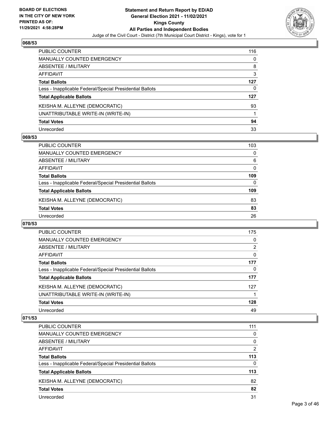

| PUBLIC COUNTER                                           | 116 |
|----------------------------------------------------------|-----|
| <b>MANUALLY COUNTED EMERGENCY</b>                        | 0   |
| <b>ABSENTEE / MILITARY</b>                               | 8   |
| <b>AFFIDAVIT</b>                                         | 3   |
| <b>Total Ballots</b>                                     | 127 |
| Less - Inapplicable Federal/Special Presidential Ballots | 0   |
| <b>Total Applicable Ballots</b>                          | 127 |
| KEISHA M. ALLEYNE (DEMOCRATIC)                           | 93  |
| UNATTRIBUTABLE WRITE-IN (WRITE-IN)                       |     |
| <b>Total Votes</b>                                       | 94  |
| Unrecorded                                               | 33  |

### **069/53**

| <b>PUBLIC COUNTER</b>                                    | 103      |
|----------------------------------------------------------|----------|
| <b>MANUALLY COUNTED EMERGENCY</b>                        | $\Omega$ |
| ABSENTEE / MILITARY                                      | 6        |
| AFFIDAVIT                                                | $\Omega$ |
| <b>Total Ballots</b>                                     | 109      |
| Less - Inapplicable Federal/Special Presidential Ballots | 0        |
| <b>Total Applicable Ballots</b>                          | 109      |
| KEISHA M. ALLEYNE (DEMOCRATIC)                           | 83       |
| <b>Total Votes</b>                                       | 83       |
| Unrecorded                                               | 26       |

### **070/53**

| <b>PUBLIC COUNTER</b>                                    | 175      |
|----------------------------------------------------------|----------|
| <b>MANUALLY COUNTED EMERGENCY</b>                        | 0        |
| ABSENTEE / MILITARY                                      | 2        |
| AFFIDAVIT                                                | $\Omega$ |
| <b>Total Ballots</b>                                     | 177      |
| Less - Inapplicable Federal/Special Presidential Ballots | 0        |
| <b>Total Applicable Ballots</b>                          | 177      |
| KEISHA M. ALLEYNE (DEMOCRATIC)                           | 127      |
| UNATTRIBUTABLE WRITE-IN (WRITE-IN)                       |          |
| <b>Total Votes</b>                                       | 128      |
| Unrecorded                                               | 49       |

| <b>PUBLIC COUNTER</b>                                    | 111      |
|----------------------------------------------------------|----------|
| MANUALLY COUNTED EMERGENCY                               | 0        |
| ABSENTEE / MILITARY                                      | 0        |
| AFFIDAVIT                                                | 2        |
| <b>Total Ballots</b>                                     | 113      |
| Less - Inapplicable Federal/Special Presidential Ballots | $\Omega$ |
| <b>Total Applicable Ballots</b>                          | 113      |
| KEISHA M. ALLEYNE (DEMOCRATIC)                           | 82       |
| <b>Total Votes</b>                                       | 82       |
| Unrecorded                                               | 31       |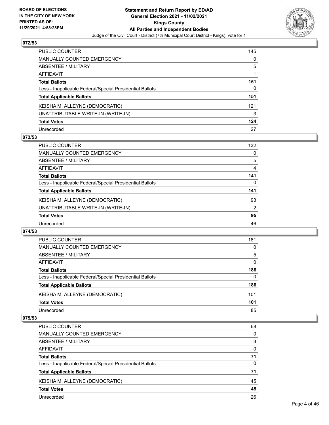

| PUBLIC COUNTER                                           | 145 |
|----------------------------------------------------------|-----|
| <b>MANUALLY COUNTED EMERGENCY</b>                        | 0   |
| <b>ABSENTEE / MILITARY</b>                               | 5   |
| <b>AFFIDAVIT</b>                                         |     |
| <b>Total Ballots</b>                                     | 151 |
| Less - Inapplicable Federal/Special Presidential Ballots | 0   |
| <b>Total Applicable Ballots</b>                          | 151 |
| KEISHA M. ALLEYNE (DEMOCRATIC)                           | 121 |
| UNATTRIBUTABLE WRITE-IN (WRITE-IN)                       | 3   |
| <b>Total Votes</b>                                       | 124 |
| Unrecorded                                               | 27  |

### **073/53**

| <b>PUBLIC COUNTER</b>                                    | 132 |
|----------------------------------------------------------|-----|
| MANUALLY COUNTED EMERGENCY                               | 0   |
| ABSENTEE / MILITARY                                      | 5   |
| AFFIDAVIT                                                | 4   |
| <b>Total Ballots</b>                                     | 141 |
| Less - Inapplicable Federal/Special Presidential Ballots | 0   |
| <b>Total Applicable Ballots</b>                          | 141 |
| KEISHA M. ALLEYNE (DEMOCRATIC)                           | 93  |
| UNATTRIBUTABLE WRITE-IN (WRITE-IN)                       | 2   |
| <b>Total Votes</b>                                       | 95  |
| Unrecorded                                               | 46  |

### **074/53**

| <b>PUBLIC COUNTER</b>                                    | 181      |
|----------------------------------------------------------|----------|
| MANUALLY COUNTED EMERGENCY                               | 0        |
| ABSENTEE / MILITARY                                      | 5        |
| AFFIDAVIT                                                | 0        |
| <b>Total Ballots</b>                                     | 186      |
| Less - Inapplicable Federal/Special Presidential Ballots | $\Omega$ |
| <b>Total Applicable Ballots</b>                          | 186      |
| KEISHA M. ALLEYNE (DEMOCRATIC)                           | 101      |
| <b>Total Votes</b>                                       | 101      |
| Unrecorded                                               | 85       |
|                                                          |          |

| <b>PUBLIC COUNTER</b>                                    | 68       |
|----------------------------------------------------------|----------|
| MANUALLY COUNTED EMERGENCY                               | 0        |
| ABSENTEE / MILITARY                                      | 3        |
| AFFIDAVIT                                                | $\Omega$ |
| <b>Total Ballots</b>                                     | 71       |
| Less - Inapplicable Federal/Special Presidential Ballots | $\Omega$ |
| <b>Total Applicable Ballots</b>                          | 71       |
| KEISHA M. ALLEYNE (DEMOCRATIC)                           | 45       |
| <b>Total Votes</b>                                       | 45       |
| Unrecorded                                               | 26       |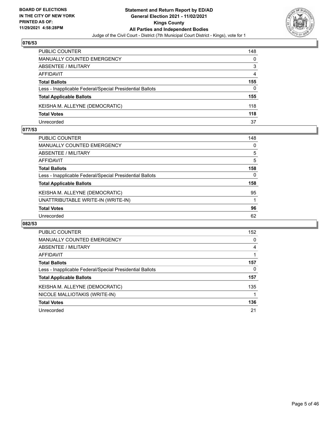

| PUBLIC COUNTER                                           | 148 |
|----------------------------------------------------------|-----|
| MANUALLY COUNTED EMERGENCY                               | 0   |
| <b>ABSENTEE / MILITARY</b>                               | 3   |
| AFFIDAVIT                                                | 4   |
| <b>Total Ballots</b>                                     | 155 |
| Less - Inapplicable Federal/Special Presidential Ballots | 0   |
| <b>Total Applicable Ballots</b>                          | 155 |
| KEISHA M. ALLEYNE (DEMOCRATIC)                           | 118 |
| <b>Total Votes</b>                                       | 118 |
| Unrecorded                                               | 37  |

### **077/53**

| <b>PUBLIC COUNTER</b>                                    | 148      |
|----------------------------------------------------------|----------|
| <b>MANUALLY COUNTED EMERGENCY</b>                        | $\Omega$ |
| ABSENTEE / MILITARY                                      | 5        |
| <b>AFFIDAVIT</b>                                         | 5        |
| <b>Total Ballots</b>                                     | 158      |
| Less - Inapplicable Federal/Special Presidential Ballots | 0        |
| <b>Total Applicable Ballots</b>                          | 158      |
| KEISHA M. ALLEYNE (DEMOCRATIC)                           | 95       |
| UNATTRIBUTABLE WRITE-IN (WRITE-IN)                       |          |
| <b>Total Votes</b>                                       | 96       |
| Unrecorded                                               | 62       |
|                                                          |          |

| <b>PUBLIC COUNTER</b>                                    | 152 |
|----------------------------------------------------------|-----|
| MANUALLY COUNTED EMERGENCY                               | 0   |
| ABSENTEE / MILITARY                                      | 4   |
| AFFIDAVIT                                                |     |
| <b>Total Ballots</b>                                     | 157 |
| Less - Inapplicable Federal/Special Presidential Ballots | 0   |
| <b>Total Applicable Ballots</b>                          | 157 |
| KEISHA M. ALLEYNE (DEMOCRATIC)                           | 135 |
| NICOLE MALLIOTAKIS (WRITE-IN)                            |     |
| <b>Total Votes</b>                                       | 136 |
| Unrecorded                                               | 21  |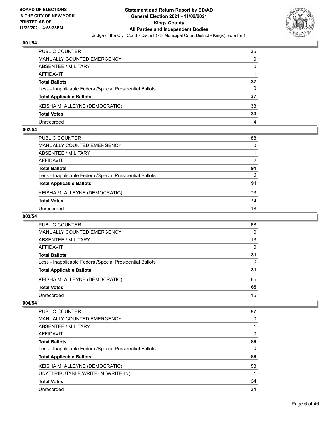

| PUBLIC COUNTER                                           | 36 |
|----------------------------------------------------------|----|
| <b>MANUALLY COUNTED EMERGENCY</b>                        | 0  |
| ABSENTEE / MILITARY                                      | 0  |
| AFFIDAVIT                                                |    |
| <b>Total Ballots</b>                                     | 37 |
| Less - Inapplicable Federal/Special Presidential Ballots | 0  |
| <b>Total Applicable Ballots</b>                          | 37 |
| KEISHA M. ALLEYNE (DEMOCRATIC)                           | 33 |
| <b>Total Votes</b>                                       | 33 |
| Unrecorded                                               | 4  |

### **002/54**

| PUBLIC COUNTER                                           | 88       |
|----------------------------------------------------------|----------|
| MANUALLY COUNTED EMERGENCY                               | 0        |
| ABSENTEE / MILITARY                                      |          |
| AFFIDAVIT                                                | 2        |
| <b>Total Ballots</b>                                     | 91       |
| Less - Inapplicable Federal/Special Presidential Ballots | $\Omega$ |
| <b>Total Applicable Ballots</b>                          | 91       |
| KEISHA M. ALLEYNE (DEMOCRATIC)                           | 73       |
| <b>Total Votes</b>                                       | 73       |
| Unrecorded                                               | 18       |
|                                                          |          |

# **003/54**

| PUBLIC COUNTER                                           | 68       |
|----------------------------------------------------------|----------|
| MANUALLY COUNTED EMERGENCY                               | 0        |
| ABSENTEE / MILITARY                                      | 13       |
| AFFIDAVIT                                                | $\Omega$ |
| <b>Total Ballots</b>                                     | 81       |
| Less - Inapplicable Federal/Special Presidential Ballots | 0        |
| <b>Total Applicable Ballots</b>                          | 81       |
| KEISHA M. ALLEYNE (DEMOCRATIC)                           | 65       |
| <b>Total Votes</b>                                       | 65       |
| Unrecorded                                               | 16       |

| PUBLIC COUNTER                                           | 87 |
|----------------------------------------------------------|----|
| <b>MANUALLY COUNTED EMERGENCY</b>                        | 0  |
| ABSENTEE / MILITARY                                      |    |
| AFFIDAVIT                                                | 0  |
| <b>Total Ballots</b>                                     | 88 |
| Less - Inapplicable Federal/Special Presidential Ballots | 0  |
| <b>Total Applicable Ballots</b>                          | 88 |
| KEISHA M. ALLEYNE (DEMOCRATIC)                           | 53 |
| UNATTRIBUTABLE WRITE-IN (WRITE-IN)                       |    |
| <b>Total Votes</b>                                       | 54 |
| Unrecorded                                               | 34 |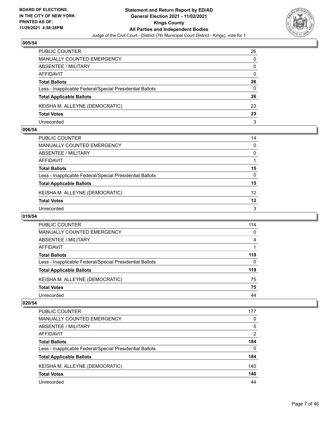

| PUBLIC COUNTER                                           | 26       |
|----------------------------------------------------------|----------|
| MANUALLY COUNTED EMERGENCY                               | 0        |
| <b>ABSENTEE / MILITARY</b>                               | 0        |
| AFFIDAVIT                                                | $\Omega$ |
| <b>Total Ballots</b>                                     | 26       |
| Less - Inapplicable Federal/Special Presidential Ballots | 0        |
| <b>Total Applicable Ballots</b>                          | 26       |
| KEISHA M. ALLEYNE (DEMOCRATIC)                           | 23       |
| <b>Total Votes</b>                                       | 23       |
| Unrecorded                                               | 3        |

### **006/54**

| PUBLIC COUNTER                                           | 14              |
|----------------------------------------------------------|-----------------|
| MANUALLY COUNTED EMERGENCY                               | 0               |
| ABSENTEE / MILITARY                                      | $\mathbf{0}$    |
| AFFIDAVIT                                                |                 |
| Total Ballots                                            | 15              |
| Less - Inapplicable Federal/Special Presidential Ballots | $\mathbf{0}$    |
| <b>Total Applicable Ballots</b>                          | 15              |
| KEISHA M. ALLEYNE (DEMOCRATIC)                           | 12 <sup>2</sup> |
| <b>Total Votes</b>                                       | 12              |
| Unrecorded                                               | 3               |

# **019/54**

| PUBLIC COUNTER                                           | 114 |
|----------------------------------------------------------|-----|
| MANUALLY COUNTED EMERGENCY                               | 0   |
| ABSENTEE / MILITARY                                      | 4   |
| AFFIDAVIT                                                |     |
| <b>Total Ballots</b>                                     | 119 |
| Less - Inapplicable Federal/Special Presidential Ballots | 0   |
| <b>Total Applicable Ballots</b>                          | 119 |
| KEISHA M. ALLEYNE (DEMOCRATIC)                           | 75  |
| <b>Total Votes</b>                                       | 75  |
| Unrecorded                                               | 44  |

| <b>PUBLIC COUNTER</b>                                    | 177            |
|----------------------------------------------------------|----------------|
| <b>MANUALLY COUNTED EMERGENCY</b>                        | 0              |
| ABSENTEE / MILITARY                                      | 5              |
| AFFIDAVIT                                                | $\overline{2}$ |
| <b>Total Ballots</b>                                     | 184            |
| Less - Inapplicable Federal/Special Presidential Ballots | $\Omega$       |
| <b>Total Applicable Ballots</b>                          | 184            |
| KEISHA M. ALLEYNE (DEMOCRATIC)                           | 140            |
| <b>Total Votes</b>                                       | 140            |
| Unrecorded                                               | 44             |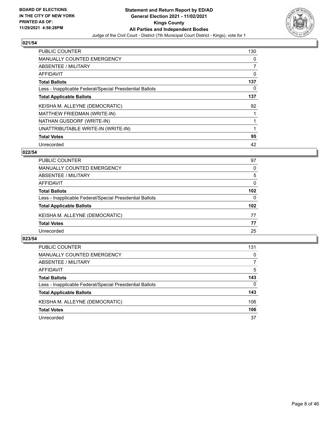

| <b>PUBLIC COUNTER</b>                                    | 130 |
|----------------------------------------------------------|-----|
| <b>MANUALLY COUNTED EMERGENCY</b>                        | 0   |
| ABSENTEE / MILITARY                                      | 7   |
| <b>AFFIDAVIT</b>                                         | 0   |
| <b>Total Ballots</b>                                     | 137 |
| Less - Inapplicable Federal/Special Presidential Ballots | 0   |
| <b>Total Applicable Ballots</b>                          | 137 |
| KEISHA M. ALLEYNE (DEMOCRATIC)                           | 92  |
| MATTHEW FRIEDMAN (WRITE-IN)                              |     |
| NATHAN GUSDORF (WRITE-IN)                                |     |
| UNATTRIBUTABLE WRITE-IN (WRITE-IN)                       | 1   |
| <b>Total Votes</b>                                       | 95  |
| Unrecorded                                               | 42  |

# **022/54**

| <b>PUBLIC COUNTER</b>                                    | 97               |
|----------------------------------------------------------|------------------|
| <b>MANUALLY COUNTED EMERGENCY</b>                        | $\Omega$         |
| ABSENTEE / MILITARY                                      | 5                |
| AFFIDAVIT                                                | $\Omega$         |
| <b>Total Ballots</b>                                     | 102              |
| Less - Inapplicable Federal/Special Presidential Ballots | 0                |
| <b>Total Applicable Ballots</b>                          | 102 <sub>2</sub> |
| KEISHA M. ALLEYNE (DEMOCRATIC)                           | 77               |
| <b>Total Votes</b>                                       | 77               |
| Unrecorded                                               | 25               |
|                                                          |                  |

| <b>PUBLIC COUNTER</b>                                    | 131      |
|----------------------------------------------------------|----------|
| MANUALLY COUNTED EMERGENCY                               | $\Omega$ |
| ABSENTEE / MILITARY                                      |          |
| AFFIDAVIT                                                | 5        |
| <b>Total Ballots</b>                                     | 143      |
| Less - Inapplicable Federal/Special Presidential Ballots | $\Omega$ |
| <b>Total Applicable Ballots</b>                          | 143      |
| KEISHA M. ALLEYNE (DEMOCRATIC)                           | 106      |
| <b>Total Votes</b>                                       | 106      |
| Unrecorded                                               | 37       |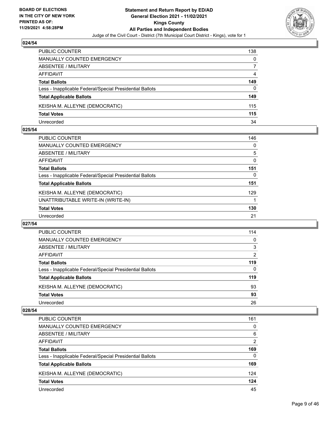

| <b>PUBLIC COUNTER</b>                                    | 138 |
|----------------------------------------------------------|-----|
| MANUALLY COUNTED EMERGENCY                               | 0   |
| ABSENTEE / MILITARY                                      |     |
| AFFIDAVIT                                                | 4   |
| <b>Total Ballots</b>                                     | 149 |
| Less - Inapplicable Federal/Special Presidential Ballots | 0   |
| <b>Total Applicable Ballots</b>                          | 149 |
| KEISHA M. ALLEYNE (DEMOCRATIC)                           | 115 |
| <b>Total Votes</b>                                       | 115 |
| Unrecorded                                               | 34  |

### **025/54**

| PUBLIC COUNTER                                           | 146 |
|----------------------------------------------------------|-----|
| <b>MANUALLY COUNTED EMERGENCY</b>                        | 0   |
| ABSENTEE / MILITARY                                      | 5   |
| AFFIDAVIT                                                | 0   |
| <b>Total Ballots</b>                                     | 151 |
| Less - Inapplicable Federal/Special Presidential Ballots | 0   |
| <b>Total Applicable Ballots</b>                          | 151 |
| KEISHA M. ALLEYNE (DEMOCRATIC)                           | 129 |
| UNATTRIBUTABLE WRITE-IN (WRITE-IN)                       |     |
| <b>Total Votes</b>                                       | 130 |
| Unrecorded                                               | 21  |
|                                                          |     |

### **027/54**

| <b>PUBLIC COUNTER</b>                                    | 114      |
|----------------------------------------------------------|----------|
| <b>MANUALLY COUNTED EMERGENCY</b>                        | $\Omega$ |
| ABSENTEE / MILITARY                                      | 3        |
| AFFIDAVIT                                                | 2        |
| <b>Total Ballots</b>                                     | 119      |
| Less - Inapplicable Federal/Special Presidential Ballots | $\Omega$ |
| <b>Total Applicable Ballots</b>                          | 119      |
| KEISHA M. ALLEYNE (DEMOCRATIC)                           | 93       |
| <b>Total Votes</b>                                       | 93       |
| Unrecorded                                               | 26       |

| <b>PUBLIC COUNTER</b>                                    | 161           |
|----------------------------------------------------------|---------------|
| <b>MANUALLY COUNTED EMERGENCY</b>                        | 0             |
| ABSENTEE / MILITARY                                      | 6             |
| AFFIDAVIT                                                | $\mathcal{P}$ |
| <b>Total Ballots</b>                                     | 169           |
| Less - Inapplicable Federal/Special Presidential Ballots | 0             |
| <b>Total Applicable Ballots</b>                          | 169           |
| KEISHA M. ALLEYNE (DEMOCRATIC)                           | 124           |
| <b>Total Votes</b>                                       | 124           |
| Unrecorded                                               | 45            |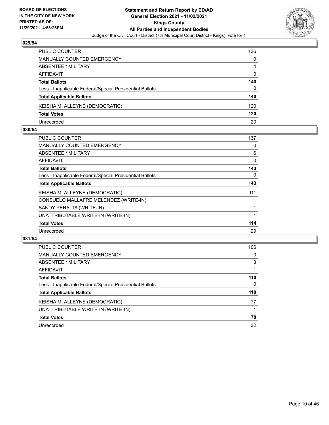

| <b>PUBLIC COUNTER</b>                                    | 136      |
|----------------------------------------------------------|----------|
| <b>MANUALLY COUNTED EMERGENCY</b>                        | 0        |
| ABSENTEE / MILITARY                                      | 4        |
| AFFIDAVIT                                                | $\Omega$ |
| <b>Total Ballots</b>                                     | 140      |
| Less - Inapplicable Federal/Special Presidential Ballots | 0        |
| <b>Total Applicable Ballots</b>                          | 140      |
| KEISHA M. ALLEYNE (DEMOCRATIC)                           | 120      |
| <b>Total Votes</b>                                       | 120      |
| Unrecorded                                               | 20       |

### **030/54**

| <b>PUBLIC COUNTER</b>                                    | 137      |
|----------------------------------------------------------|----------|
| MANUALLY COUNTED EMERGENCY                               | 0        |
| ABSENTEE / MILITARY                                      | 6        |
| <b>AFFIDAVIT</b>                                         | 0        |
| <b>Total Ballots</b>                                     | 143      |
| Less - Inapplicable Federal/Special Presidential Ballots | $\Omega$ |
| <b>Total Applicable Ballots</b>                          | 143      |
| KEISHA M. ALLEYNE (DEMOCRATIC)                           | 111      |
| CONSUELO MALLAFRE MELENDEZ (WRITE-IN)                    |          |
| SANDY PERALTA (WRITE-IN)                                 |          |
| UNATTRIBUTABLE WRITE-IN (WRITE-IN)                       |          |
| <b>Total Votes</b>                                       | 114      |
| Unrecorded                                               | 29       |
|                                                          |          |

| <b>PUBLIC COUNTER</b>                                    | 106      |
|----------------------------------------------------------|----------|
| MANUALLY COUNTED EMERGENCY                               | 0        |
| ABSENTEE / MILITARY                                      | 3        |
| <b>AFFIDAVIT</b>                                         |          |
| <b>Total Ballots</b>                                     | 110      |
| Less - Inapplicable Federal/Special Presidential Ballots | $\Omega$ |
| <b>Total Applicable Ballots</b>                          | 110      |
| KEISHA M. ALLEYNE (DEMOCRATIC)                           | 77       |
| UNATTRIBUTABLE WRITE-IN (WRITE-IN)                       |          |
| <b>Total Votes</b>                                       | 78       |
| Unrecorded                                               | 32       |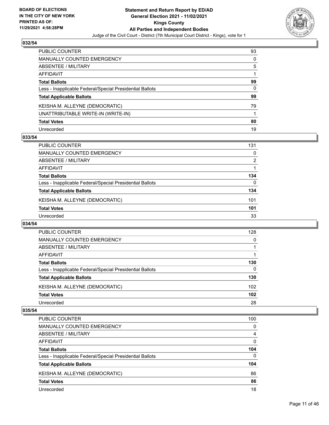

| PUBLIC COUNTER                                           | 93 |
|----------------------------------------------------------|----|
| MANUALLY COUNTED EMERGENCY                               | 0  |
| <b>ABSENTEE / MILITARY</b>                               | 5  |
| AFFIDAVIT                                                |    |
| <b>Total Ballots</b>                                     | 99 |
| Less - Inapplicable Federal/Special Presidential Ballots | 0  |
| <b>Total Applicable Ballots</b>                          | 99 |
| KEISHA M. ALLEYNE (DEMOCRATIC)                           | 79 |
| UNATTRIBUTABLE WRITE-IN (WRITE-IN)                       |    |
| <b>Total Votes</b>                                       | 80 |
| Unrecorded                                               | 19 |

### **033/54**

| <b>PUBLIC COUNTER</b>                                    | 131            |
|----------------------------------------------------------|----------------|
| MANUALLY COUNTED EMERGENCY                               | 0              |
| ABSENTEE / MILITARY                                      | $\overline{2}$ |
| AFFIDAVIT                                                |                |
| <b>Total Ballots</b>                                     | 134            |
| Less - Inapplicable Federal/Special Presidential Ballots | 0              |
| <b>Total Applicable Ballots</b>                          | 134            |
| KEISHA M. ALLEYNE (DEMOCRATIC)                           | 101            |
| <b>Total Votes</b>                                       | 101            |
| Unrecorded                                               | 33             |

#### **034/54**

| PUBLIC COUNTER                                           | 128              |
|----------------------------------------------------------|------------------|
| <b>MANUALLY COUNTED EMERGENCY</b>                        | $\Omega$         |
| ABSENTEE / MILITARY                                      |                  |
| AFFIDAVIT                                                |                  |
| <b>Total Ballots</b>                                     | 130              |
| Less - Inapplicable Federal/Special Presidential Ballots | $\Omega$         |
| <b>Total Applicable Ballots</b>                          | 130              |
| KEISHA M. ALLEYNE (DEMOCRATIC)                           | 102 <sub>2</sub> |
| <b>Total Votes</b>                                       | 102              |
| Unrecorded                                               | 28               |

| <b>PUBLIC COUNTER</b>                                    | 100      |
|----------------------------------------------------------|----------|
| <b>MANUALLY COUNTED EMERGENCY</b>                        | $\Omega$ |
| ABSENTEE / MILITARY                                      | 4        |
| AFFIDAVIT                                                | 0        |
| <b>Total Ballots</b>                                     | 104      |
| Less - Inapplicable Federal/Special Presidential Ballots | $\Omega$ |
| <b>Total Applicable Ballots</b>                          | 104      |
| KEISHA M. ALLEYNE (DEMOCRATIC)                           | 86       |
| <b>Total Votes</b>                                       | 86       |
| Unrecorded                                               | 18       |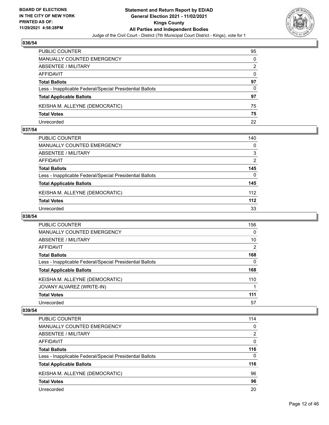

| PUBLIC COUNTER                                           | 95 |
|----------------------------------------------------------|----|
| MANUALLY COUNTED EMERGENCY                               | 0  |
| ABSENTEE / MILITARY                                      | 2  |
| AFFIDAVIT                                                | 0  |
| <b>Total Ballots</b>                                     | 97 |
| Less - Inapplicable Federal/Special Presidential Ballots | 0  |
| <b>Total Applicable Ballots</b>                          | 97 |
| KEISHA M. ALLEYNE (DEMOCRATIC)                           | 75 |
| <b>Total Votes</b>                                       | 75 |
| Unrecorded                                               | 22 |

### **037/54**

| PUBLIC COUNTER                                           | 140           |
|----------------------------------------------------------|---------------|
| <b>MANUALLY COUNTED EMERGENCY</b>                        | $\Omega$      |
| <b>ABSENTEE / MILITARY</b>                               | 3             |
| <b>AFFIDAVIT</b>                                         | $\mathcal{P}$ |
| <b>Total Ballots</b>                                     | 145           |
| Less - Inapplicable Federal/Special Presidential Ballots | 0             |
| <b>Total Applicable Ballots</b>                          | 145           |
| KEISHA M. ALLEYNE (DEMOCRATIC)                           | 112           |
| <b>Total Votes</b>                                       | 112           |
| Unrecorded                                               | 33            |
|                                                          |               |

# **038/54**

| <b>PUBLIC COUNTER</b>                                    | 156      |
|----------------------------------------------------------|----------|
| MANUALLY COUNTED EMERGENCY                               | $\Omega$ |
| ABSENTEE / MILITARY                                      | 10       |
| <b>AFFIDAVIT</b>                                         | 2        |
| <b>Total Ballots</b>                                     | 168      |
| Less - Inapplicable Federal/Special Presidential Ballots | $\Omega$ |
| <b>Total Applicable Ballots</b>                          | 168      |
| KEISHA M. ALLEYNE (DEMOCRATIC)                           | 110      |
| JOVANY ALVAREZ (WRITE-IN)                                |          |
| <b>Total Votes</b>                                       | 111      |
| Unrecorded                                               | 57       |

| PUBLIC COUNTER                                           | 114      |
|----------------------------------------------------------|----------|
| <b>MANUALLY COUNTED EMERGENCY</b>                        | $\Omega$ |
| ABSENTEE / MILITARY                                      | 2        |
| AFFIDAVIT                                                | $\Omega$ |
| <b>Total Ballots</b>                                     | 116      |
| Less - Inapplicable Federal/Special Presidential Ballots | $\Omega$ |
| <b>Total Applicable Ballots</b>                          | 116      |
| KEISHA M. ALLEYNE (DEMOCRATIC)                           | 96       |
| <b>Total Votes</b>                                       | 96       |
| Unrecorded                                               | 20       |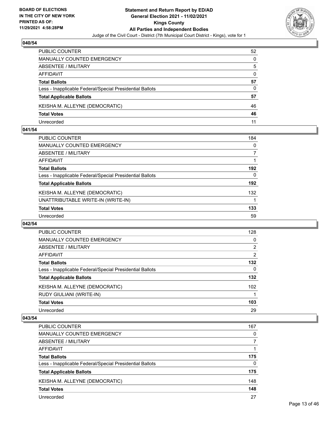

| PUBLIC COUNTER                                           | 52       |
|----------------------------------------------------------|----------|
| <b>MANUALLY COUNTED EMERGENCY</b>                        | 0        |
| ABSENTEE / MILITARY                                      | 5        |
| AFFIDAVIT                                                | $\Omega$ |
| <b>Total Ballots</b>                                     | 57       |
| Less - Inapplicable Federal/Special Presidential Ballots | 0        |
| <b>Total Applicable Ballots</b>                          | 57       |
| KEISHA M. ALLEYNE (DEMOCRATIC)                           | 46       |
| <b>Total Votes</b>                                       | 46       |
| Unrecorded                                               | 11       |

### **041/54**

| PUBLIC COUNTER                                           | 184 |
|----------------------------------------------------------|-----|
| <b>MANUALLY COUNTED EMERGENCY</b>                        | 0   |
| ABSENTEE / MILITARY                                      |     |
| <b>AFFIDAVIT</b>                                         |     |
| <b>Total Ballots</b>                                     | 192 |
| Less - Inapplicable Federal/Special Presidential Ballots | 0   |
| <b>Total Applicable Ballots</b>                          | 192 |
| KEISHA M. ALLEYNE (DEMOCRATIC)                           | 132 |
| UNATTRIBUTABLE WRITE-IN (WRITE-IN)                       |     |
| <b>Total Votes</b>                                       | 133 |
| Unrecorded                                               | 59  |
|                                                          |     |

### **042/54**

| PUBLIC COUNTER                                           | 128            |
|----------------------------------------------------------|----------------|
| <b>MANUALLY COUNTED EMERGENCY</b>                        | 0              |
| ABSENTEE / MILITARY                                      | $\overline{2}$ |
| <b>AFFIDAVIT</b>                                         | 2              |
| <b>Total Ballots</b>                                     | 132            |
| Less - Inapplicable Federal/Special Presidential Ballots | 0              |
| <b>Total Applicable Ballots</b>                          | 132            |
| KEISHA M. ALLEYNE (DEMOCRATIC)                           | 102            |
| RUDY GIULIANI (WRITE-IN)                                 |                |
| <b>Total Votes</b>                                       | 103            |
| Unrecorded                                               | 29             |

| PUBLIC COUNTER                                           | 167 |
|----------------------------------------------------------|-----|
| MANUALLY COUNTED EMERGENCY                               | 0   |
| ABSENTEE / MILITARY                                      |     |
| AFFIDAVIT                                                |     |
| <b>Total Ballots</b>                                     | 175 |
| Less - Inapplicable Federal/Special Presidential Ballots | 0   |
| <b>Total Applicable Ballots</b>                          | 175 |
| KEISHA M. ALLEYNE (DEMOCRATIC)                           | 148 |
| <b>Total Votes</b>                                       | 148 |
| Unrecorded                                               | 27  |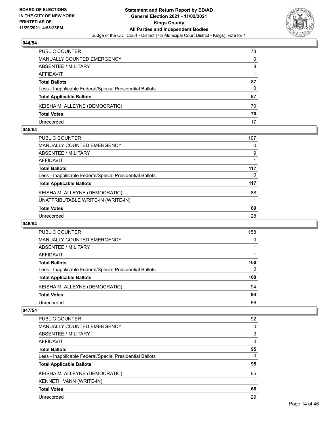

| PUBLIC COUNTER                                           | 78 |
|----------------------------------------------------------|----|
| <b>MANUALLY COUNTED EMERGENCY</b>                        | 0  |
| ABSENTEE / MILITARY                                      | 8  |
| AFFIDAVIT                                                |    |
| <b>Total Ballots</b>                                     | 87 |
| Less - Inapplicable Federal/Special Presidential Ballots | 0  |
| <b>Total Applicable Ballots</b>                          | 87 |
| KEISHA M. ALLEYNE (DEMOCRATIC)                           | 70 |
| <b>Total Votes</b>                                       | 70 |
| Unrecorded                                               |    |

### **045/54**

| PUBLIC COUNTER                                           | 107 |
|----------------------------------------------------------|-----|
| <b>MANUALLY COUNTED EMERGENCY</b>                        | 0   |
| ABSENTEE / MILITARY                                      | 9   |
| <b>AFFIDAVIT</b>                                         |     |
| <b>Total Ballots</b>                                     | 117 |
| Less - Inapplicable Federal/Special Presidential Ballots | 0   |
| <b>Total Applicable Ballots</b>                          | 117 |
| KEISHA M. ALLEYNE (DEMOCRATIC)                           | 88  |
| UNATTRIBUTABLE WRITE-IN (WRITE-IN)                       |     |
| <b>Total Votes</b>                                       | 89  |
| Unrecorded                                               | 28  |
|                                                          |     |

### **046/54**

| PUBLIC COUNTER                                           | 158      |
|----------------------------------------------------------|----------|
| <b>MANUALLY COUNTED EMERGENCY</b>                        | $\Omega$ |
| ABSENTEE / MILITARY                                      |          |
| AFFIDAVIT                                                |          |
| <b>Total Ballots</b>                                     | 160      |
| Less - Inapplicable Federal/Special Presidential Ballots | $\Omega$ |
| <b>Total Applicable Ballots</b>                          | 160      |
| KEISHA M. ALLEYNE (DEMOCRATIC)                           | 94       |
| <b>Total Votes</b>                                       | 94       |
| Unrecorded                                               | 66       |

| PUBLIC COUNTER                                           | 92       |
|----------------------------------------------------------|----------|
| <b>MANUALLY COUNTED EMERGENCY</b>                        | 0        |
| ABSENTEE / MILITARY                                      | 3        |
| AFFIDAVIT                                                | $\Omega$ |
| <b>Total Ballots</b>                                     | 95       |
| Less - Inapplicable Federal/Special Presidential Ballots | $\Omega$ |
| <b>Total Applicable Ballots</b>                          | 95       |
| KEISHA M. ALLEYNE (DEMOCRATIC)                           | 65       |
| KENNETH VANN (WRITE-IN)                                  |          |
| <b>Total Votes</b>                                       | 66       |
|                                                          |          |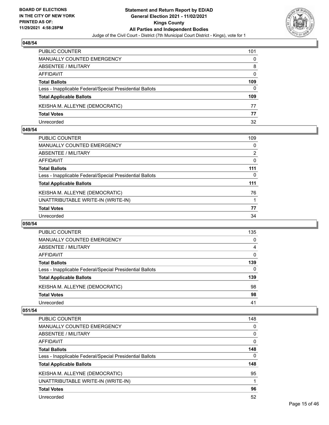

| PUBLIC COUNTER                                           | 101      |
|----------------------------------------------------------|----------|
| MANUALLY COUNTED EMERGENCY                               | 0        |
| ABSENTEE / MILITARY                                      | 8        |
| AFFIDAVIT                                                | $\Omega$ |
| <b>Total Ballots</b>                                     | 109      |
| Less - Inapplicable Federal/Special Presidential Ballots | 0        |
| <b>Total Applicable Ballots</b>                          | 109      |
| KEISHA M. ALLEYNE (DEMOCRATIC)                           | 77       |
| <b>Total Votes</b>                                       | 77       |
| Unrecorded                                               | 32       |

### **049/54**

| <b>PUBLIC COUNTER</b>                                    | 109 |
|----------------------------------------------------------|-----|
| MANUALLY COUNTED EMERGENCY                               | 0   |
| <b>ABSENTEE / MILITARY</b>                               | 2   |
| AFFIDAVIT                                                | 0   |
| <b>Total Ballots</b>                                     | 111 |
| Less - Inapplicable Federal/Special Presidential Ballots | 0   |
| <b>Total Applicable Ballots</b>                          | 111 |
| KEISHA M. ALLEYNE (DEMOCRATIC)                           | 76  |
| UNATTRIBUTABLE WRITE-IN (WRITE-IN)                       |     |
| <b>Total Votes</b>                                       | 77  |
| Unrecorded                                               | 34  |
|                                                          |     |

# **050/54**

| PUBLIC COUNTER                                           | 135      |
|----------------------------------------------------------|----------|
| <b>MANUALLY COUNTED EMERGENCY</b>                        | $\Omega$ |
| ABSENTEE / MILITARY                                      | 4        |
| AFFIDAVIT                                                | 0        |
| <b>Total Ballots</b>                                     | 139      |
| Less - Inapplicable Federal/Special Presidential Ballots | $\Omega$ |
| <b>Total Applicable Ballots</b>                          | 139      |
| KEISHA M. ALLEYNE (DEMOCRATIC)                           | 98       |
| <b>Total Votes</b>                                       | 98       |
| Unrecorded                                               | 41       |

| PUBLIC COUNTER                                           | 148      |
|----------------------------------------------------------|----------|
| <b>MANUALLY COUNTED EMERGENCY</b>                        | $\Omega$ |
| ABSENTEE / MILITARY                                      | 0        |
| AFFIDAVIT                                                | $\Omega$ |
| <b>Total Ballots</b>                                     | 148      |
| Less - Inapplicable Federal/Special Presidential Ballots | 0        |
| <b>Total Applicable Ballots</b>                          | 148      |
| KEISHA M. ALLEYNE (DEMOCRATIC)                           | 95       |
|                                                          |          |
| UNATTRIBUTABLE WRITE-IN (WRITE-IN)                       |          |
| <b>Total Votes</b>                                       | 96       |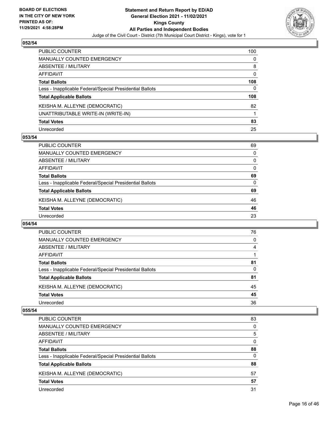

| PUBLIC COUNTER                                           | 100      |
|----------------------------------------------------------|----------|
| <b>MANUALLY COUNTED EMERGENCY</b>                        | 0        |
| <b>ABSENTEE / MILITARY</b>                               | 8        |
| <b>AFFIDAVIT</b>                                         | $\Omega$ |
| <b>Total Ballots</b>                                     | 108      |
| Less - Inapplicable Federal/Special Presidential Ballots | 0        |
| <b>Total Applicable Ballots</b>                          | 108      |
| KEISHA M. ALLEYNE (DEMOCRATIC)                           | 82       |
| UNATTRIBUTABLE WRITE-IN (WRITE-IN)                       |          |
| <b>Total Votes</b>                                       | 83       |
| Unrecorded                                               | 25       |

### **053/54**

| <b>PUBLIC COUNTER</b>                                    | 69       |
|----------------------------------------------------------|----------|
| <b>MANUALLY COUNTED EMERGENCY</b>                        | $\Omega$ |
| ABSENTEE / MILITARY                                      | $\Omega$ |
| AFFIDAVIT                                                | $\Omega$ |
| <b>Total Ballots</b>                                     | 69       |
| Less - Inapplicable Federal/Special Presidential Ballots | 0        |
| <b>Total Applicable Ballots</b>                          | 69       |
| KEISHA M. ALLEYNE (DEMOCRATIC)                           | 46       |
| <b>Total Votes</b>                                       | 46       |
| Unrecorded                                               | 23       |

### **054/54**

| PUBLIC COUNTER                                           | 76 |
|----------------------------------------------------------|----|
| <b>MANUALLY COUNTED EMERGENCY</b>                        | 0  |
| ABSENTEE / MILITARY                                      | 4  |
| AFFIDAVIT                                                |    |
| <b>Total Ballots</b>                                     | 81 |
| Less - Inapplicable Federal/Special Presidential Ballots | 0  |
| <b>Total Applicable Ballots</b>                          | 81 |
| KEISHA M. ALLEYNE (DEMOCRATIC)                           | 45 |
| <b>Total Votes</b>                                       | 45 |
| Unrecorded                                               | 36 |

| PUBLIC COUNTER                                           | 83       |
|----------------------------------------------------------|----------|
| <b>MANUALLY COUNTED EMERGENCY</b>                        | 0        |
| ABSENTEE / MILITARY                                      | 5        |
| AFFIDAVIT                                                | $\Omega$ |
| <b>Total Ballots</b>                                     | 88       |
| Less - Inapplicable Federal/Special Presidential Ballots | 0        |
| <b>Total Applicable Ballots</b>                          | 88       |
| KEISHA M. ALLEYNE (DEMOCRATIC)                           | 57       |
| <b>Total Votes</b>                                       | 57       |
| Unrecorded                                               | 31       |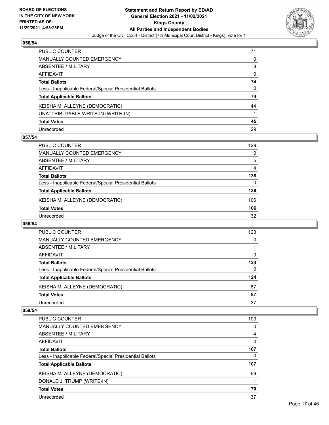

| PUBLIC COUNTER                                           | 71 |
|----------------------------------------------------------|----|
| <b>MANUALLY COUNTED EMERGENCY</b>                        | 0  |
| <b>ABSENTEE / MILITARY</b>                               | 3  |
| AFFIDAVIT                                                | 0  |
| <b>Total Ballots</b>                                     | 74 |
| Less - Inapplicable Federal/Special Presidential Ballots | 0  |
| <b>Total Applicable Ballots</b>                          | 74 |
| KEISHA M. ALLEYNE (DEMOCRATIC)                           | 44 |
| UNATTRIBUTABLE WRITE-IN (WRITE-IN)                       |    |
| <b>Total Votes</b>                                       | 45 |
| Unrecorded                                               | 29 |

### **057/54**

| <b>PUBLIC COUNTER</b>                                    | 129      |
|----------------------------------------------------------|----------|
| <b>MANUALLY COUNTED EMERGENCY</b>                        | $\Omega$ |
| ABSENTEE / MILITARY                                      | 5        |
| AFFIDAVIT                                                | 4        |
| <b>Total Ballots</b>                                     | 138      |
| Less - Inapplicable Federal/Special Presidential Ballots | 0        |
| <b>Total Applicable Ballots</b>                          | 138      |
| KEISHA M. ALLEYNE (DEMOCRATIC)                           | 106      |
| <b>Total Votes</b>                                       | 106      |
| Unrecorded                                               | 32       |

### **058/54**

| <b>PUBLIC COUNTER</b>                                    | 123 |
|----------------------------------------------------------|-----|
| <b>MANUALLY COUNTED EMERGENCY</b>                        | 0   |
| ABSENTEE / MILITARY                                      |     |
| AFFIDAVIT                                                | 0   |
| <b>Total Ballots</b>                                     | 124 |
| Less - Inapplicable Federal/Special Presidential Ballots | 0   |
| <b>Total Applicable Ballots</b>                          | 124 |
| KEISHA M. ALLEYNE (DEMOCRATIC)                           | 87  |
| <b>Total Votes</b>                                       | 87  |
| Unrecorded                                               | 37  |

| PUBLIC COUNTER                                           | 103      |
|----------------------------------------------------------|----------|
| MANUALLY COUNTED EMERGENCY                               | 0        |
| ABSENTEE / MILITARY                                      | 4        |
| AFFIDAVIT                                                | $\Omega$ |
| <b>Total Ballots</b>                                     | 107      |
| Less - Inapplicable Federal/Special Presidential Ballots | 0        |
| <b>Total Applicable Ballots</b>                          | 107      |
| KEISHA M. ALLEYNE (DEMOCRATIC)                           | 69       |
| DONALD J. TRUMP (WRITE-IN)                               |          |
| <b>Total Votes</b>                                       | 70       |
| Unrecorded                                               | 37       |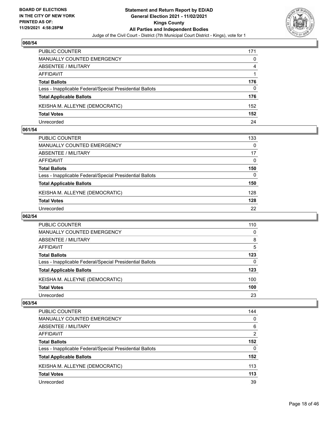

| <b>PUBLIC COUNTER</b>                                    | 171 |
|----------------------------------------------------------|-----|
| MANUALLY COUNTED EMERGENCY                               | 0   |
| ABSENTEE / MILITARY                                      | 4   |
| AFFIDAVIT                                                |     |
| <b>Total Ballots</b>                                     | 176 |
| Less - Inapplicable Federal/Special Presidential Ballots | 0   |
| <b>Total Applicable Ballots</b>                          | 176 |
| KEISHA M. ALLEYNE (DEMOCRATIC)                           | 152 |
| <b>Total Votes</b>                                       | 152 |
| Unrecorded                                               | 24  |

### **061/54**

| PUBLIC COUNTER                                           | 133      |
|----------------------------------------------------------|----------|
| <b>MANUALLY COUNTED EMERGENCY</b>                        | 0        |
| ABSENTEE / MILITARY                                      | 17       |
| AFFIDAVIT                                                | $\Omega$ |
| <b>Total Ballots</b>                                     | 150      |
| Less - Inapplicable Federal/Special Presidential Ballots | 0        |
| <b>Total Applicable Ballots</b>                          | 150      |
| KEISHA M. ALLEYNE (DEMOCRATIC)                           | 128      |
| <b>Total Votes</b>                                       | 128      |
| Unrecorded                                               | 22       |
|                                                          |          |

# **062/54**

| <b>PUBLIC COUNTER</b>                                    | 110 |
|----------------------------------------------------------|-----|
| <b>MANUALLY COUNTED EMERGENCY</b>                        | 0   |
| ABSENTEE / MILITARY                                      | 8   |
| AFFIDAVIT                                                | 5   |
| <b>Total Ballots</b>                                     | 123 |
| Less - Inapplicable Federal/Special Presidential Ballots | 0   |
| <b>Total Applicable Ballots</b>                          | 123 |
| KEISHA M. ALLEYNE (DEMOCRATIC)                           | 100 |
| <b>Total Votes</b>                                       | 100 |
| Unrecorded                                               | 23  |

| <b>PUBLIC COUNTER</b>                                    | 144           |
|----------------------------------------------------------|---------------|
| <b>MANUALLY COUNTED EMERGENCY</b>                        | 0             |
| ABSENTEE / MILITARY                                      | 6             |
| AFFIDAVIT                                                | $\mathcal{P}$ |
| <b>Total Ballots</b>                                     | 152           |
| Less - Inapplicable Federal/Special Presidential Ballots | $\Omega$      |
| <b>Total Applicable Ballots</b>                          | 152           |
| KEISHA M. ALLEYNE (DEMOCRATIC)                           | 113           |
| <b>Total Votes</b>                                       | 113           |
| Unrecorded                                               | 39            |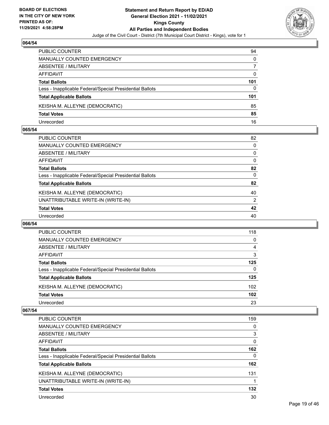

| PUBLIC COUNTER                                           | 94  |
|----------------------------------------------------------|-----|
| MANUALLY COUNTED EMERGENCY                               | 0   |
| ABSENTEE / MILITARY                                      |     |
| AFFIDAVIT                                                | 0   |
| <b>Total Ballots</b>                                     | 101 |
| Less - Inapplicable Federal/Special Presidential Ballots | 0   |
| <b>Total Applicable Ballots</b>                          | 101 |
| KEISHA M. ALLEYNE (DEMOCRATIC)                           | 85  |
| <b>Total Votes</b>                                       | 85  |
| Unrecorded                                               | 16  |

### **065/54**

| PUBLIC COUNTER                                           | 82       |
|----------------------------------------------------------|----------|
| <b>MANUALLY COUNTED EMERGENCY</b>                        | 0        |
| <b>ABSENTEE / MILITARY</b>                               | 0        |
| <b>AFFIDAVIT</b>                                         | 0        |
| <b>Total Ballots</b>                                     | 82       |
| Less - Inapplicable Federal/Special Presidential Ballots | $\Omega$ |
| <b>Total Applicable Ballots</b>                          | 82       |
| KEISHA M. ALLEYNE (DEMOCRATIC)                           | 40       |
| UNATTRIBUTABLE WRITE-IN (WRITE-IN)                       | 2        |
| <b>Total Votes</b>                                       | 42       |
| Unrecorded                                               | 40       |
|                                                          |          |

### **066/54**

| <b>PUBLIC COUNTER</b>                                    | 118              |
|----------------------------------------------------------|------------------|
| <b>MANUALLY COUNTED EMERGENCY</b>                        | 0                |
| ABSENTEE / MILITARY                                      | 4                |
| AFFIDAVIT                                                | 3                |
| <b>Total Ballots</b>                                     | 125              |
| Less - Inapplicable Federal/Special Presidential Ballots | $\Omega$         |
| <b>Total Applicable Ballots</b>                          | 125              |
| KEISHA M. ALLEYNE (DEMOCRATIC)                           | 102 <sub>1</sub> |
| <b>Total Votes</b>                                       | 102              |
| Unrecorded                                               | 23               |

| PUBLIC COUNTER                                           | 159      |
|----------------------------------------------------------|----------|
| <b>MANUALLY COUNTED EMERGENCY</b>                        | 0        |
| ABSENTEE / MILITARY                                      | 3        |
| AFFIDAVIT                                                | $\Omega$ |
| <b>Total Ballots</b>                                     | 162      |
| Less - Inapplicable Federal/Special Presidential Ballots | 0        |
| <b>Total Applicable Ballots</b>                          | 162      |
| KEISHA M. ALLEYNE (DEMOCRATIC)                           | 131      |
| UNATTRIBUTABLE WRITE-IN (WRITE-IN)                       |          |
| <b>Total Votes</b>                                       | 132      |
| Unrecorded                                               | 30       |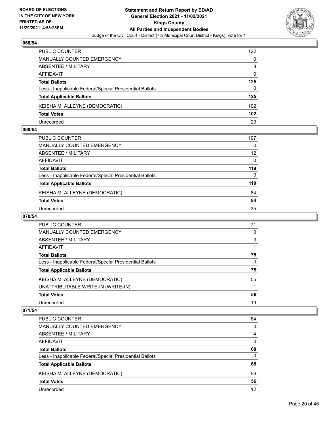

| <b>PUBLIC COUNTER</b>                                    | 122 |
|----------------------------------------------------------|-----|
| <b>MANUALLY COUNTED EMERGENCY</b>                        | 0   |
| ABSENTEE / MILITARY                                      | 3   |
| AFFIDAVIT                                                | 0   |
| <b>Total Ballots</b>                                     | 125 |
| Less - Inapplicable Federal/Special Presidential Ballots | 0   |
| <b>Total Applicable Ballots</b>                          | 125 |
| KEISHA M. ALLEYNE (DEMOCRATIC)                           | 102 |
| <b>Total Votes</b>                                       | 102 |
| Unrecorded                                               | 23  |

### **069/54**

| PUBLIC COUNTER                                           | 107               |
|----------------------------------------------------------|-------------------|
| <b>MANUALLY COUNTED EMERGENCY</b>                        | $\Omega$          |
| <b>ABSENTEE / MILITARY</b>                               | $12 \overline{ }$ |
| <b>AFFIDAVIT</b>                                         | 0                 |
| <b>Total Ballots</b>                                     | 119               |
| Less - Inapplicable Federal/Special Presidential Ballots | 0                 |
| <b>Total Applicable Ballots</b>                          | 119               |
| KEISHA M. ALLEYNE (DEMOCRATIC)                           | 84                |
| <b>Total Votes</b>                                       | 84                |
| Unrecorded                                               | 35                |

# **070/54**

| <b>PUBLIC COUNTER</b>                                    | 71       |
|----------------------------------------------------------|----------|
| MANUALLY COUNTED EMERGENCY                               | 0        |
| ABSENTEE / MILITARY                                      | 3        |
| AFFIDAVIT                                                |          |
| <b>Total Ballots</b>                                     | 75       |
| Less - Inapplicable Federal/Special Presidential Ballots | $\Omega$ |
| <b>Total Applicable Ballots</b>                          | 75       |
| KEISHA M. ALLEYNE (DEMOCRATIC)                           | 55       |
| UNATTRIBUTABLE WRITE-IN (WRITE-IN)                       |          |
| <b>Total Votes</b>                                       | 56       |
| Unrecorded                                               | 19       |

| PUBLIC COUNTER                                           | 64       |
|----------------------------------------------------------|----------|
| MANUALLY COUNTED EMERGENCY                               | $\Omega$ |
| ABSENTEE / MILITARY                                      | 4        |
| AFFIDAVIT                                                | $\Omega$ |
| <b>Total Ballots</b>                                     | 68       |
| Less - Inapplicable Federal/Special Presidential Ballots | $\Omega$ |
| <b>Total Applicable Ballots</b>                          | 68       |
| KEISHA M. ALLEYNE (DEMOCRATIC)                           | 56       |
| <b>Total Votes</b>                                       | 56       |
| Unrecorded                                               | 12       |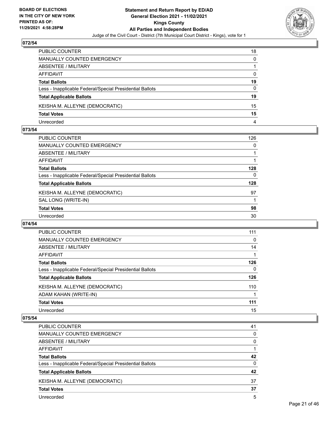

| PUBLIC COUNTER                                           | 18 |
|----------------------------------------------------------|----|
| <b>MANUALLY COUNTED EMERGENCY</b>                        | 0  |
| <b>ABSENTEE / MILITARY</b>                               |    |
| <b>AFFIDAVIT</b>                                         | 0  |
| <b>Total Ballots</b>                                     | 19 |
| Less - Inapplicable Federal/Special Presidential Ballots | 0  |
| <b>Total Applicable Ballots</b>                          | 19 |
| KEISHA M. ALLEYNE (DEMOCRATIC)                           | 15 |
| <b>Total Votes</b>                                       | 15 |
| Unrecorded                                               | 4  |

### **073/54**

| PUBLIC COUNTER                                           | 126      |
|----------------------------------------------------------|----------|
| <b>MANUALLY COUNTED EMERGENCY</b>                        | $\Omega$ |
| <b>ABSENTEE / MILITARY</b>                               |          |
| <b>AFFIDAVIT</b>                                         |          |
| <b>Total Ballots</b>                                     | 128      |
| Less - Inapplicable Federal/Special Presidential Ballots | $\Omega$ |
| <b>Total Applicable Ballots</b>                          | 128      |
| KEISHA M. ALLEYNE (DEMOCRATIC)                           | 97       |
| SAL LONG (WRITE-IN)                                      |          |
| <b>Total Votes</b>                                       | 98       |
| Unrecorded                                               | 30       |
|                                                          |          |

### **074/54**

| PUBLIC COUNTER                                           | 111      |
|----------------------------------------------------------|----------|
| <b>MANUALLY COUNTED EMERGENCY</b>                        | $\Omega$ |
| ABSENTEE / MILITARY                                      | 14       |
| <b>AFFIDAVIT</b>                                         |          |
| <b>Total Ballots</b>                                     | 126      |
| Less - Inapplicable Federal/Special Presidential Ballots | 0        |
| <b>Total Applicable Ballots</b>                          | 126      |
| KEISHA M. ALLEYNE (DEMOCRATIC)                           | 110      |
| ADAM KAHAN (WRITE-IN)                                    |          |
| <b>Total Votes</b>                                       | 111      |
| Unrecorded                                               | 15       |

| PUBLIC COUNTER                                           | 41       |
|----------------------------------------------------------|----------|
| <b>MANUALLY COUNTED EMERGENCY</b>                        | 0        |
| ABSENTEE / MILITARY                                      | 0        |
| AFFIDAVIT                                                |          |
| <b>Total Ballots</b>                                     | 42       |
| Less - Inapplicable Federal/Special Presidential Ballots | $\Omega$ |
| <b>Total Applicable Ballots</b>                          | 42       |
| KEISHA M. ALLEYNE (DEMOCRATIC)                           | 37       |
| <b>Total Votes</b>                                       | 37       |
| Unrecorded                                               | 5        |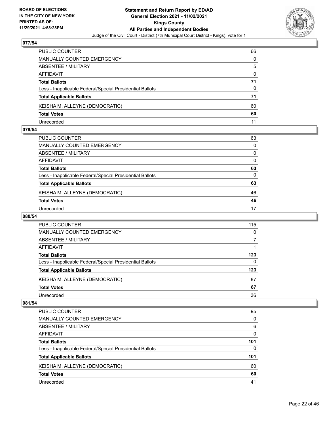

| PUBLIC COUNTER                                           | 66       |
|----------------------------------------------------------|----------|
| <b>MANUALLY COUNTED EMERGENCY</b>                        | 0        |
| ABSENTEE / MILITARY                                      | 5        |
| AFFIDAVIT                                                | $\Omega$ |
| <b>Total Ballots</b>                                     | 71       |
| Less - Inapplicable Federal/Special Presidential Ballots | 0        |
| <b>Total Applicable Ballots</b>                          | 71       |
| KEISHA M. ALLEYNE (DEMOCRATIC)                           | 60       |
| <b>Total Votes</b>                                       | 60       |
| Unrecorded                                               | 11       |

### **079/54**

| 63           |
|--------------|
| 0            |
| 0            |
| 0            |
| 63           |
| $\mathbf{0}$ |
| 63           |
| 46           |
| 46           |
| 17           |
|              |

# **080/54**

| PUBLIC COUNTER                                           | 115 |
|----------------------------------------------------------|-----|
| MANUALLY COUNTED EMERGENCY                               | 0   |
| ABSENTEE / MILITARY                                      |     |
| AFFIDAVIT                                                |     |
| <b>Total Ballots</b>                                     | 123 |
| Less - Inapplicable Federal/Special Presidential Ballots | 0   |
| <b>Total Applicable Ballots</b>                          | 123 |
| KEISHA M. ALLEYNE (DEMOCRATIC)                           | 87  |
| <b>Total Votes</b>                                       | 87  |
| Unrecorded                                               | 36  |

| <b>PUBLIC COUNTER</b>                                    | 95  |
|----------------------------------------------------------|-----|
| <b>MANUALLY COUNTED EMERGENCY</b>                        | 0   |
| ABSENTEE / MILITARY                                      | 6   |
| AFFIDAVIT                                                | 0   |
| <b>Total Ballots</b>                                     | 101 |
| Less - Inapplicable Federal/Special Presidential Ballots | 0   |
| <b>Total Applicable Ballots</b>                          | 101 |
| KEISHA M. ALLEYNE (DEMOCRATIC)                           | 60  |
| <b>Total Votes</b>                                       | 60  |
| Unrecorded                                               | 41  |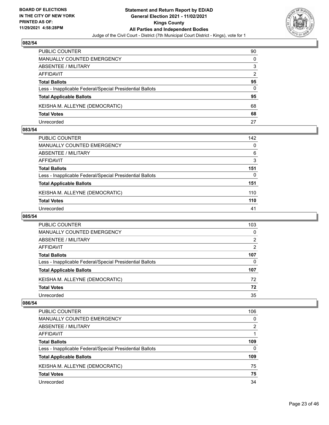

| PUBLIC COUNTER                                           | 90            |
|----------------------------------------------------------|---------------|
| MANUALLY COUNTED EMERGENCY                               | 0             |
| <b>ABSENTEE / MILITARY</b>                               | 3             |
| AFFIDAVIT                                                | $\mathcal{P}$ |
| <b>Total Ballots</b>                                     | 95            |
| Less - Inapplicable Federal/Special Presidential Ballots | 0             |
| <b>Total Applicable Ballots</b>                          | 95            |
| KEISHA M. ALLEYNE (DEMOCRATIC)                           | 68            |
| <b>Total Votes</b>                                       | 68            |
| Unrecorded                                               | 27            |

### **083/54**

| PUBLIC COUNTER                                           | 142 |
|----------------------------------------------------------|-----|
| <b>MANUALLY COUNTED EMERGENCY</b>                        | 0   |
| ABSENTEE / MILITARY                                      | 6   |
| AFFIDAVIT                                                | 3   |
| <b>Total Ballots</b>                                     | 151 |
| Less - Inapplicable Federal/Special Presidential Ballots | 0   |
| <b>Total Applicable Ballots</b>                          | 151 |
| KEISHA M. ALLEYNE (DEMOCRATIC)                           | 110 |
| <b>Total Votes</b>                                       | 110 |
| Unrecorded                                               | 41  |

# **085/54**

| PUBLIC COUNTER                                           | 103 |
|----------------------------------------------------------|-----|
| MANUALLY COUNTED EMERGENCY                               | 0   |
| ABSENTEE / MILITARY                                      | 2   |
| AFFIDAVIT                                                | 2   |
| <b>Total Ballots</b>                                     | 107 |
| Less - Inapplicable Federal/Special Presidential Ballots | 0   |
| <b>Total Applicable Ballots</b>                          | 107 |
| KEISHA M. ALLEYNE (DEMOCRATIC)                           | 72  |
| <b>Total Votes</b>                                       | 72  |
| Unrecorded                                               | 35  |

| <b>PUBLIC COUNTER</b>                                    | 106      |
|----------------------------------------------------------|----------|
| <b>MANUALLY COUNTED EMERGENCY</b>                        | 0        |
| ABSENTEE / MILITARY                                      | 2        |
| AFFIDAVIT                                                |          |
| <b>Total Ballots</b>                                     | 109      |
| Less - Inapplicable Federal/Special Presidential Ballots | $\Omega$ |
| <b>Total Applicable Ballots</b>                          | 109      |
| KEISHA M. ALLEYNE (DEMOCRATIC)                           | 75       |
| <b>Total Votes</b>                                       | 75       |
| Unrecorded                                               | 34       |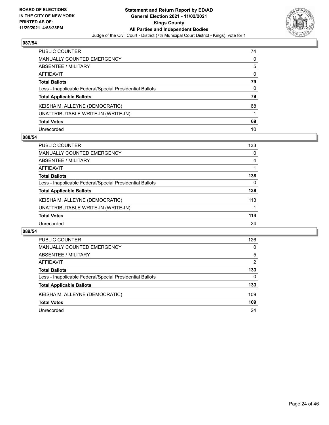

| PUBLIC COUNTER                                           | 74       |
|----------------------------------------------------------|----------|
| <b>MANUALLY COUNTED EMERGENCY</b>                        | 0        |
| <b>ABSENTEE / MILITARY</b>                               | 5        |
| AFFIDAVIT                                                | $\Omega$ |
| <b>Total Ballots</b>                                     | 79       |
| Less - Inapplicable Federal/Special Presidential Ballots | 0        |
| <b>Total Applicable Ballots</b>                          | 79       |
| KEISHA M. ALLEYNE (DEMOCRATIC)                           | 68       |
| UNATTRIBUTABLE WRITE-IN (WRITE-IN)                       |          |
| <b>Total Votes</b>                                       | 69       |
| Unrecorded                                               | 10       |

### **088/54**

| <b>PUBLIC COUNTER</b>                                    | 133      |
|----------------------------------------------------------|----------|
| <b>MANUALLY COUNTED EMERGENCY</b>                        | 0        |
| ABSENTEE / MILITARY                                      | 4        |
| AFFIDAVIT                                                |          |
| <b>Total Ballots</b>                                     | 138      |
| Less - Inapplicable Federal/Special Presidential Ballots | $\Omega$ |
| <b>Total Applicable Ballots</b>                          | 138      |
| KEISHA M. ALLEYNE (DEMOCRATIC)                           | 113      |
| UNATTRIBUTABLE WRITE-IN (WRITE-IN)                       |          |
| <b>Total Votes</b>                                       | 114      |
| Unrecorded                                               | 24       |

| PUBLIC COUNTER                                           | 126      |
|----------------------------------------------------------|----------|
| <b>MANUALLY COUNTED EMERGENCY</b>                        | 0        |
| ABSENTEE / MILITARY                                      | 5        |
| AFFIDAVIT                                                | 2        |
| <b>Total Ballots</b>                                     | 133      |
| Less - Inapplicable Federal/Special Presidential Ballots | $\Omega$ |
| <b>Total Applicable Ballots</b>                          | 133      |
| KEISHA M. ALLEYNE (DEMOCRATIC)                           | 109      |
| <b>Total Votes</b>                                       | 109      |
| Unrecorded                                               | 24       |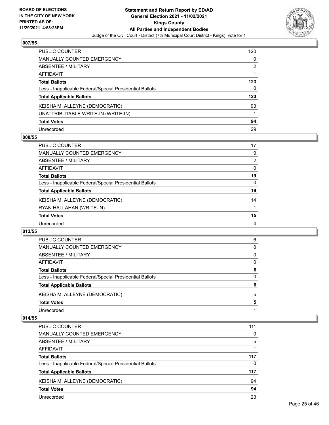

| PUBLIC COUNTER                                           | 120 |
|----------------------------------------------------------|-----|
| <b>MANUALLY COUNTED EMERGENCY</b>                        | 0   |
| <b>ABSENTEE / MILITARY</b>                               | 2   |
| <b>AFFIDAVIT</b>                                         |     |
| <b>Total Ballots</b>                                     | 123 |
| Less - Inapplicable Federal/Special Presidential Ballots | 0   |
| <b>Total Applicable Ballots</b>                          | 123 |
| KEISHA M. ALLEYNE (DEMOCRATIC)                           | 93  |
| UNATTRIBUTABLE WRITE-IN (WRITE-IN)                       |     |
| <b>Total Votes</b>                                       | 94  |
| Unrecorded                                               | 29  |

### **008/55**

| PUBLIC COUNTER                                           | 17             |
|----------------------------------------------------------|----------------|
| MANUALLY COUNTED EMERGENCY                               | 0              |
| ABSENTEE / MILITARY                                      | $\overline{2}$ |
| AFFIDAVIT                                                | $\Omega$       |
| <b>Total Ballots</b>                                     | 19             |
| Less - Inapplicable Federal/Special Presidential Ballots | $\Omega$       |
| <b>Total Applicable Ballots</b>                          | 19             |
| KEISHA M. ALLEYNE (DEMOCRATIC)                           | 14             |
| RYAN HALLAHAN (WRITE-IN)                                 |                |
| <b>Total Votes</b>                                       | 15             |
| Unrecorded                                               | 4              |

### **013/55**

| <b>PUBLIC COUNTER</b>                                    | 6        |
|----------------------------------------------------------|----------|
| <b>MANUALLY COUNTED EMERGENCY</b>                        | 0        |
| ABSENTEE / MILITARY                                      | $\Omega$ |
| AFFIDAVIT                                                | 0        |
| <b>Total Ballots</b>                                     | 6        |
| Less - Inapplicable Federal/Special Presidential Ballots | 0        |
| <b>Total Applicable Ballots</b>                          | 6        |
| KEISHA M. ALLEYNE (DEMOCRATIC)                           | 5        |
| <b>Total Votes</b>                                       | 5        |
| Unrecorded                                               |          |

| <b>PUBLIC COUNTER</b>                                    | 111 |
|----------------------------------------------------------|-----|
| MANUALLY COUNTED EMERGENCY                               | 0   |
| ABSENTEE / MILITARY                                      | 5   |
| AFFIDAVIT                                                |     |
| <b>Total Ballots</b>                                     | 117 |
| Less - Inapplicable Federal/Special Presidential Ballots | 0   |
| <b>Total Applicable Ballots</b>                          | 117 |
| KEISHA M. ALLEYNE (DEMOCRATIC)                           | 94  |
| <b>Total Votes</b>                                       | 94  |
| Unrecorded                                               | 23  |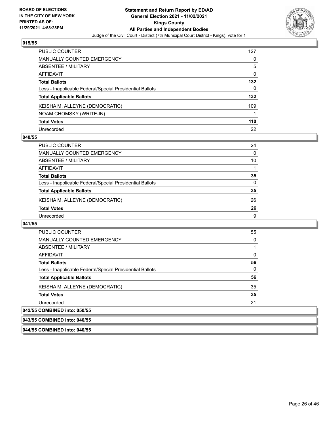

| PUBLIC COUNTER                                           | 127      |
|----------------------------------------------------------|----------|
| <b>MANUALLY COUNTED EMERGENCY</b>                        | 0        |
| ABSENTEE / MILITARY                                      | 5        |
| AFFIDAVIT                                                | 0        |
| <b>Total Ballots</b>                                     | 132      |
| Less - Inapplicable Federal/Special Presidential Ballots | $\Omega$ |
| <b>Total Applicable Ballots</b>                          | 132      |
| KEISHA M. ALLEYNE (DEMOCRATIC)                           | 109      |
| NOAM CHOMSKY (WRITE-IN)                                  |          |
| <b>Total Votes</b>                                       | 110      |
| Unrecorded                                               | 22       |

### **040/55**

| PUBLIC COUNTER                                           | 24       |
|----------------------------------------------------------|----------|
| <b>MANUALLY COUNTED EMERGENCY</b>                        | $\Omega$ |
| ABSENTEE / MILITARY                                      | 10       |
| AFFIDAVIT                                                |          |
| <b>Total Ballots</b>                                     | 35       |
| Less - Inapplicable Federal/Special Presidential Ballots | 0        |
| <b>Total Applicable Ballots</b>                          | 35       |
| KEISHA M. ALLEYNE (DEMOCRATIC)                           | 26       |
| <b>Total Votes</b>                                       | 26       |
| Unrecorded                                               | 9        |

#### **041/55**

| <b>PUBLIC COUNTER</b>                                    | 55 |
|----------------------------------------------------------|----|
| <b>MANUALLY COUNTED EMERGENCY</b>                        | 0  |
| ABSENTEE / MILITARY                                      |    |
| AFFIDAVIT                                                | 0  |
| <b>Total Ballots</b>                                     | 56 |
| Less - Inapplicable Federal/Special Presidential Ballots | 0  |
| <b>Total Applicable Ballots</b>                          | 56 |
| KEISHA M. ALLEYNE (DEMOCRATIC)                           | 35 |
| <b>Total Votes</b>                                       | 35 |
| Unrecorded                                               | 21 |
| 042/55 COMBINED into: 050/55                             |    |

### **043/55 COMBINED into: 040/55**

**044/55 COMBINED into: 040/55**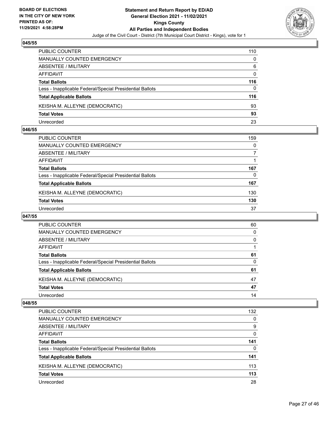

| <b>PUBLIC COUNTER</b>                                    | 110 |
|----------------------------------------------------------|-----|
| MANUALLY COUNTED EMERGENCY                               | 0   |
| ABSENTEE / MILITARY                                      | 6   |
| AFFIDAVIT                                                | 0   |
| <b>Total Ballots</b>                                     | 116 |
| Less - Inapplicable Federal/Special Presidential Ballots | 0   |
| <b>Total Applicable Ballots</b>                          | 116 |
| KEISHA M. ALLEYNE (DEMOCRATIC)                           | 93  |
| <b>Total Votes</b>                                       | 93  |
| Unrecorded                                               | 23  |

### **046/55**

| PUBLIC COUNTER                                           | 159      |
|----------------------------------------------------------|----------|
| <b>MANUALLY COUNTED EMERGENCY</b>                        | $\Omega$ |
| <b>ABSENTEE / MILITARY</b>                               |          |
| <b>AFFIDAVIT</b>                                         |          |
| <b>Total Ballots</b>                                     | 167      |
| Less - Inapplicable Federal/Special Presidential Ballots | 0        |
| <b>Total Applicable Ballots</b>                          | 167      |
| KEISHA M. ALLEYNE (DEMOCRATIC)                           | 130      |
| <b>Total Votes</b>                                       | 130      |
| Unrecorded                                               | 37       |

### **047/55**

| <b>PUBLIC COUNTER</b>                                    | 60 |
|----------------------------------------------------------|----|
| <b>MANUALLY COUNTED EMERGENCY</b>                        | 0  |
| ABSENTEE / MILITARY                                      | 0  |
| AFFIDAVIT                                                |    |
| <b>Total Ballots</b>                                     | 61 |
| Less - Inapplicable Federal/Special Presidential Ballots | 0  |
| <b>Total Applicable Ballots</b>                          | 61 |
| KEISHA M. ALLEYNE (DEMOCRATIC)                           | 47 |
| <b>Total Votes</b>                                       | 47 |
| Unrecorded                                               | 14 |

| PUBLIC COUNTER                                           | 132 |
|----------------------------------------------------------|-----|
| <b>MANUALLY COUNTED EMERGENCY</b>                        | 0   |
| ABSENTEE / MILITARY                                      | 9   |
| AFFIDAVIT                                                | 0   |
| <b>Total Ballots</b>                                     | 141 |
| Less - Inapplicable Federal/Special Presidential Ballots | 0   |
| <b>Total Applicable Ballots</b>                          | 141 |
| KEISHA M. ALLEYNE (DEMOCRATIC)                           | 113 |
| <b>Total Votes</b>                                       | 113 |
| Unrecorded                                               | 28  |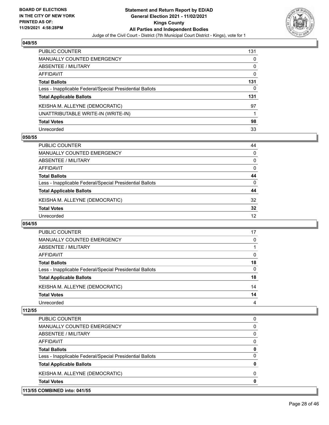

| PUBLIC COUNTER                                           | 131      |
|----------------------------------------------------------|----------|
| <b>MANUALLY COUNTED EMERGENCY</b>                        | 0        |
| <b>ABSENTEE / MILITARY</b>                               | 0        |
| <b>AFFIDAVIT</b>                                         | $\Omega$ |
| <b>Total Ballots</b>                                     | 131      |
| Less - Inapplicable Federal/Special Presidential Ballots | 0        |
| <b>Total Applicable Ballots</b>                          | 131      |
| KEISHA M. ALLEYNE (DEMOCRATIC)                           | 97       |
| UNATTRIBUTABLE WRITE-IN (WRITE-IN)                       |          |
| <b>Total Votes</b>                                       | 98       |
| Unrecorded                                               | 33       |

### **050/55**

| <b>PUBLIC COUNTER</b>                                    | 44       |
|----------------------------------------------------------|----------|
| <b>MANUALLY COUNTED EMERGENCY</b>                        | $\Omega$ |
| ABSENTEE / MILITARY                                      | $\Omega$ |
| AFFIDAVIT                                                | $\Omega$ |
| <b>Total Ballots</b>                                     | 44       |
| Less - Inapplicable Federal/Special Presidential Ballots | 0        |
| <b>Total Applicable Ballots</b>                          | 44       |
| KEISHA M. ALLEYNE (DEMOCRATIC)                           | 32       |
| <b>Total Votes</b>                                       | 32       |
| Unrecorded                                               | 12       |

### **054/55**

| PUBLIC COUNTER                                           | 17 |
|----------------------------------------------------------|----|
| <b>MANUALLY COUNTED EMERGENCY</b>                        | 0  |
| ABSENTEE / MILITARY                                      |    |
| AFFIDAVIT                                                | 0  |
| <b>Total Ballots</b>                                     | 18 |
| Less - Inapplicable Federal/Special Presidential Ballots | 0  |
| <b>Total Applicable Ballots</b>                          | 18 |
| KEISHA M. ALLEYNE (DEMOCRATIC)                           | 14 |
| <b>Total Votes</b>                                       | 14 |
| Unrecorded                                               | 4  |

|                                                          | 0        |
|----------------------------------------------------------|----------|
| KEISHA M. ALLEYNE (DEMOCRATIC)                           | $\Omega$ |
|                                                          | 0        |
| Less - Inapplicable Federal/Special Presidential Ballots | 0        |
|                                                          | 0        |
|                                                          | 0        |
|                                                          | 0        |
| MANUALLY COUNTED EMERGENCY                               | 0        |
|                                                          | 0        |
|                                                          |          |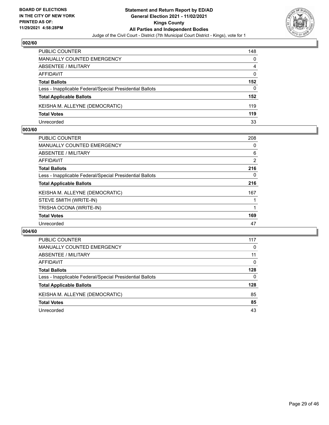

| <b>PUBLIC COUNTER</b>                                    | 148 |
|----------------------------------------------------------|-----|
| MANUALLY COUNTED EMERGENCY                               | 0   |
| ABSENTEE / MILITARY                                      | 4   |
| AFFIDAVIT                                                | 0   |
| <b>Total Ballots</b>                                     | 152 |
| Less - Inapplicable Federal/Special Presidential Ballots | 0   |
| <b>Total Applicable Ballots</b>                          | 152 |
| KEISHA M. ALLEYNE (DEMOCRATIC)                           | 119 |
| <b>Total Votes</b>                                       | 119 |
| Unrecorded                                               | 33  |

### **003/60**

| <b>PUBLIC COUNTER</b>                                    | 208 |
|----------------------------------------------------------|-----|
| <b>MANUALLY COUNTED EMERGENCY</b>                        | 0   |
| ABSENTEE / MILITARY                                      | 6   |
| AFFIDAVIT                                                | 2   |
| <b>Total Ballots</b>                                     | 216 |
| Less - Inapplicable Federal/Special Presidential Ballots | 0   |
| <b>Total Applicable Ballots</b>                          | 216 |
| KEISHA M. ALLEYNE (DEMOCRATIC)                           | 167 |
| STEVE SMITH (WRITE-IN)                                   |     |
| TRISHA OCONA (WRITE-IN)                                  |     |
| <b>Total Votes</b>                                       | 169 |
| Unrecorded                                               | 47  |
|                                                          |     |

| PUBLIC COUNTER                                           | 117      |
|----------------------------------------------------------|----------|
| <b>MANUALLY COUNTED EMERGENCY</b>                        | 0        |
| ABSENTEE / MILITARY                                      | 11       |
| AFFIDAVIT                                                | $\Omega$ |
| <b>Total Ballots</b>                                     | 128      |
| Less - Inapplicable Federal/Special Presidential Ballots | 0        |
| <b>Total Applicable Ballots</b>                          | 128      |
| KEISHA M. ALLEYNE (DEMOCRATIC)                           | 85       |
| <b>Total Votes</b>                                       | 85       |
| Unrecorded                                               | 43       |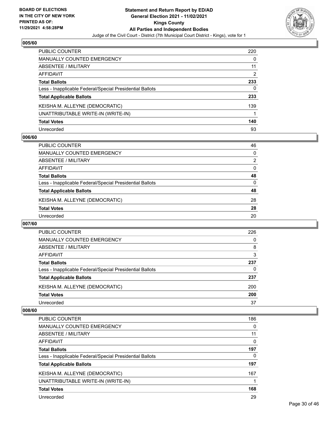

| <b>PUBLIC COUNTER</b>                                    | 220 |
|----------------------------------------------------------|-----|
| <b>MANUALLY COUNTED EMERGENCY</b>                        | 0   |
| ABSENTEE / MILITARY                                      | 11  |
| AFFIDAVIT                                                | 2   |
| <b>Total Ballots</b>                                     | 233 |
| Less - Inapplicable Federal/Special Presidential Ballots | 0   |
| <b>Total Applicable Ballots</b>                          | 233 |
| KEISHA M. ALLEYNE (DEMOCRATIC)                           | 139 |
| UNATTRIBUTABLE WRITE-IN (WRITE-IN)                       |     |
| <b>Total Votes</b>                                       | 140 |
| Unrecorded                                               | 93  |

### **006/60**

| <b>PUBLIC COUNTER</b>                                    | 46       |
|----------------------------------------------------------|----------|
| <b>MANUALLY COUNTED EMERGENCY</b>                        | $\Omega$ |
| ABSENTEE / MILITARY                                      | 2        |
| AFFIDAVIT                                                | $\Omega$ |
| <b>Total Ballots</b>                                     | 48       |
| Less - Inapplicable Federal/Special Presidential Ballots | 0        |
| <b>Total Applicable Ballots</b>                          | 48       |
| KEISHA M. ALLEYNE (DEMOCRATIC)                           | 28       |
| <b>Total Votes</b>                                       | 28       |
| Unrecorded                                               | 20       |

### **007/60**

| <b>PUBLIC COUNTER</b>                                    | 226 |
|----------------------------------------------------------|-----|
| <b>MANUALLY COUNTED EMERGENCY</b>                        | 0   |
| ABSENTEE / MILITARY                                      | 8   |
| AFFIDAVIT                                                | 3   |
| <b>Total Ballots</b>                                     | 237 |
| Less - Inapplicable Federal/Special Presidential Ballots | 0   |
| <b>Total Applicable Ballots</b>                          | 237 |
| KEISHA M. ALLEYNE (DEMOCRATIC)                           | 200 |
| <b>Total Votes</b>                                       | 200 |
| Unrecorded                                               | 37  |

| <b>PUBLIC COUNTER</b>                                    | 186 |
|----------------------------------------------------------|-----|
| MANUALLY COUNTED EMERGENCY                               | 0   |
| ABSENTEE / MILITARY                                      | 11  |
| AFFIDAVIT                                                | 0   |
| <b>Total Ballots</b>                                     | 197 |
| Less - Inapplicable Federal/Special Presidential Ballots | 0   |
| <b>Total Applicable Ballots</b>                          | 197 |
| KEISHA M. ALLEYNE (DEMOCRATIC)                           | 167 |
| UNATTRIBUTABLE WRITE-IN (WRITE-IN)                       |     |
| <b>Total Votes</b>                                       | 168 |
| Unrecorded                                               | 29  |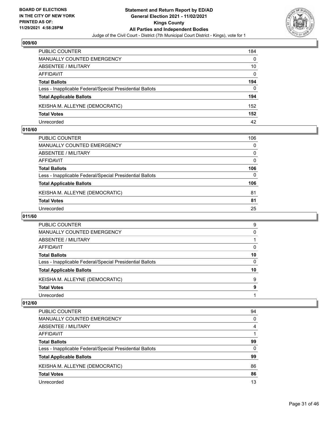

| PUBLIC COUNTER                                           | 184      |
|----------------------------------------------------------|----------|
| <b>MANUALLY COUNTED EMERGENCY</b>                        | 0        |
| ABSENTEE / MILITARY                                      | 10       |
| AFFIDAVIT                                                | $\Omega$ |
| <b>Total Ballots</b>                                     | 194      |
| Less - Inapplicable Federal/Special Presidential Ballots | $\Omega$ |
| <b>Total Applicable Ballots</b>                          | 194      |
| KEISHA M. ALLEYNE (DEMOCRATIC)                           | 152      |
| <b>Total Votes</b>                                       | 152      |
| Unrecorded                                               | 42       |

# **010/60**

| PUBLIC COUNTER                                           | 106      |
|----------------------------------------------------------|----------|
| <b>MANUALLY COUNTED EMERGENCY</b>                        | 0        |
| ABSENTEE / MILITARY                                      | $\Omega$ |
| AFFIDAVIT                                                | 0        |
| <b>Total Ballots</b>                                     | 106      |
| Less - Inapplicable Federal/Special Presidential Ballots | 0        |
| <b>Total Applicable Ballots</b>                          | 106      |
| KEISHA M. ALLEYNE (DEMOCRATIC)                           | 81       |
| <b>Total Votes</b>                                       | 81       |
| Unrecorded                                               | 25       |
|                                                          |          |

# **011/60**

| <b>PUBLIC COUNTER</b>                                    | 9  |
|----------------------------------------------------------|----|
| MANUALLY COUNTED EMERGENCY                               | 0  |
| ABSENTEE / MILITARY                                      |    |
| AFFIDAVIT                                                | 0  |
| <b>Total Ballots</b>                                     | 10 |
| Less - Inapplicable Federal/Special Presidential Ballots | 0  |
| <b>Total Applicable Ballots</b>                          | 10 |
| KEISHA M. ALLEYNE (DEMOCRATIC)                           | 9  |
| <b>Total Votes</b>                                       | 9  |
| Unrecorded                                               |    |

| PUBLIC COUNTER                                           | 94       |
|----------------------------------------------------------|----------|
| <b>MANUALLY COUNTED EMERGENCY</b>                        | 0        |
| ABSENTEE / MILITARY                                      | 4        |
| AFFIDAVIT                                                |          |
| <b>Total Ballots</b>                                     | 99       |
| Less - Inapplicable Federal/Special Presidential Ballots | $\Omega$ |
| <b>Total Applicable Ballots</b>                          | 99       |
| KEISHA M. ALLEYNE (DEMOCRATIC)                           | 86       |
| <b>Total Votes</b>                                       | 86       |
| Unrecorded                                               | 13       |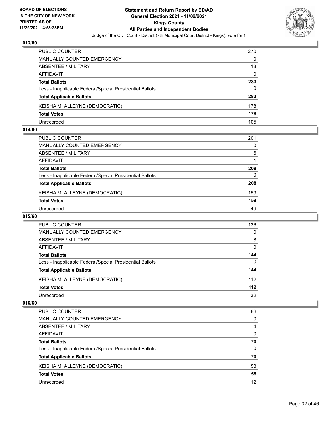

| <b>PUBLIC COUNTER</b>                                    | 270 |
|----------------------------------------------------------|-----|
| MANUALLY COUNTED EMERGENCY                               | 0   |
| ABSENTEE / MILITARY                                      | 13  |
| AFFIDAVIT                                                | 0   |
| <b>Total Ballots</b>                                     | 283 |
| Less - Inapplicable Federal/Special Presidential Ballots | 0   |
| <b>Total Applicable Ballots</b>                          | 283 |
| KEISHA M. ALLEYNE (DEMOCRATIC)                           | 178 |
| <b>Total Votes</b>                                       | 178 |
| Unrecorded                                               | 105 |

### **014/60**

| PUBLIC COUNTER                                           | 201 |
|----------------------------------------------------------|-----|
| <b>MANUALLY COUNTED EMERGENCY</b>                        | 0   |
| <b>ABSENTEE / MILITARY</b>                               | 6   |
| <b>AFFIDAVIT</b>                                         |     |
| <b>Total Ballots</b>                                     | 208 |
| Less - Inapplicable Federal/Special Presidential Ballots | 0   |
| <b>Total Applicable Ballots</b>                          | 208 |
| KEISHA M. ALLEYNE (DEMOCRATIC)                           | 159 |
| <b>Total Votes</b>                                       | 159 |
| Unrecorded                                               | 49  |

# **015/60**

| <b>PUBLIC COUNTER</b>                                    | 136      |
|----------------------------------------------------------|----------|
| MANUALLY COUNTED EMERGENCY                               | $\Omega$ |
| ABSENTEE / MILITARY                                      | 8        |
| AFFIDAVIT                                                | 0        |
| <b>Total Ballots</b>                                     | 144      |
| Less - Inapplicable Federal/Special Presidential Ballots | $\Omega$ |
| <b>Total Applicable Ballots</b>                          | 144      |
| KEISHA M. ALLEYNE (DEMOCRATIC)                           | 112      |
| <b>Total Votes</b>                                       | 112      |
| Unrecorded                                               | 32       |

| PUBLIC COUNTER                                           | 66       |
|----------------------------------------------------------|----------|
| <b>MANUALLY COUNTED EMERGENCY</b>                        | 0        |
| ABSENTEE / MILITARY                                      | 4        |
| AFFIDAVIT                                                | 0        |
| <b>Total Ballots</b>                                     | 70       |
| Less - Inapplicable Federal/Special Presidential Ballots | $\Omega$ |
| <b>Total Applicable Ballots</b>                          | 70       |
| KEISHA M. ALLEYNE (DEMOCRATIC)                           | 58       |
| <b>Total Votes</b>                                       | 58       |
| Unrecorded                                               | 12       |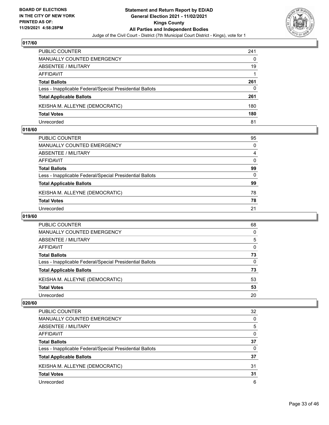

| <b>PUBLIC COUNTER</b>                                    | 241 |
|----------------------------------------------------------|-----|
| MANUALLY COUNTED EMERGENCY                               | 0   |
| ABSENTEE / MILITARY                                      | 19  |
| AFFIDAVIT                                                |     |
| <b>Total Ballots</b>                                     | 261 |
| Less - Inapplicable Federal/Special Presidential Ballots | 0   |
| <b>Total Applicable Ballots</b>                          | 261 |
| KEISHA M. ALLEYNE (DEMOCRATIC)                           | 180 |
| <b>Total Votes</b>                                       | 180 |
| Unrecorded                                               | 81  |

### **018/60**

| PUBLIC COUNTER                                           | 95       |
|----------------------------------------------------------|----------|
| <b>MANUALLY COUNTED EMERGENCY</b>                        | $\Omega$ |
| <b>ABSENTEE / MILITARY</b>                               | 4        |
| <b>AFFIDAVIT</b>                                         | $\Omega$ |
| <b>Total Ballots</b>                                     | 99       |
| Less - Inapplicable Federal/Special Presidential Ballots | $\Omega$ |
| <b>Total Applicable Ballots</b>                          | 99       |
| KEISHA M. ALLEYNE (DEMOCRATIC)                           | 78       |
| <b>Total Votes</b>                                       | 78       |
| Unrecorded                                               | 21       |

# **019/60**

| <b>PUBLIC COUNTER</b>                                    | 68       |
|----------------------------------------------------------|----------|
| MANUALLY COUNTED EMERGENCY                               | 0        |
| ABSENTEE / MILITARY                                      | 5        |
| AFFIDAVIT                                                | $\Omega$ |
| <b>Total Ballots</b>                                     | 73       |
| Less - Inapplicable Federal/Special Presidential Ballots | $\Omega$ |
| <b>Total Applicable Ballots</b>                          | 73       |
| KEISHA M. ALLEYNE (DEMOCRATIC)                           | 53       |
| <b>Total Votes</b>                                       | 53       |
| Unrecorded                                               | 20       |

| <b>PUBLIC COUNTER</b>                                    | 32 |
|----------------------------------------------------------|----|
| <b>MANUALLY COUNTED EMERGENCY</b>                        | 0  |
| ABSENTEE / MILITARY                                      | 5  |
| AFFIDAVIT                                                | 0  |
| <b>Total Ballots</b>                                     | 37 |
| Less - Inapplicable Federal/Special Presidential Ballots | 0  |
| <b>Total Applicable Ballots</b>                          | 37 |
| KEISHA M. ALLEYNE (DEMOCRATIC)                           | 31 |
| <b>Total Votes</b>                                       | 31 |
| Unrecorded                                               | 6  |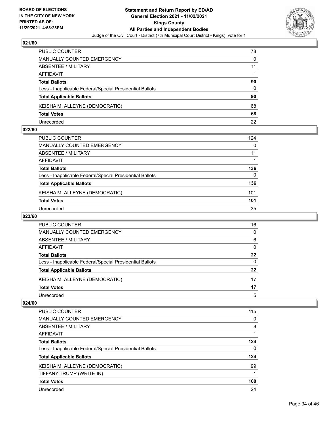

| PUBLIC COUNTER                                           | 78 |
|----------------------------------------------------------|----|
| MANUALLY COUNTED EMERGENCY                               | 0  |
| ABSENTEE / MILITARY                                      | 11 |
| AFFIDAVIT                                                |    |
| <b>Total Ballots</b>                                     | 90 |
| Less - Inapplicable Federal/Special Presidential Ballots | 0  |
| <b>Total Applicable Ballots</b>                          | 90 |
| KEISHA M. ALLEYNE (DEMOCRATIC)                           | 68 |
| <b>Total Votes</b>                                       | 68 |
| Unrecorded                                               | 22 |

### **022/60**

| PUBLIC COUNTER                                           | 124      |
|----------------------------------------------------------|----------|
| <b>MANUALLY COUNTED EMERGENCY</b>                        | $\Omega$ |
| <b>ABSENTEE / MILITARY</b>                               | 11       |
| <b>AFFIDAVIT</b>                                         |          |
| <b>Total Ballots</b>                                     | 136      |
| Less - Inapplicable Federal/Special Presidential Ballots | 0        |
| <b>Total Applicable Ballots</b>                          | 136      |
| KEISHA M. ALLEYNE (DEMOCRATIC)                           | 101      |
| <b>Total Votes</b>                                       | 101      |
| Unrecorded                                               | 35       |
|                                                          |          |

### **023/60**

| PUBLIC COUNTER                                           | 16       |
|----------------------------------------------------------|----------|
| MANUALLY COUNTED EMERGENCY                               | 0        |
| ABSENTEE / MILITARY                                      | 6        |
| AFFIDAVIT                                                | $\Omega$ |
| <b>Total Ballots</b>                                     | 22       |
| Less - Inapplicable Federal/Special Presidential Ballots | 0        |
| <b>Total Applicable Ballots</b>                          | 22       |
| KEISHA M. ALLEYNE (DEMOCRATIC)                           | 17       |
| <b>Total Votes</b>                                       | 17       |
| Unrecorded                                               | 5        |

| PUBLIC COUNTER                                           | 115 |
|----------------------------------------------------------|-----|
| <b>MANUALLY COUNTED EMERGENCY</b>                        | 0   |
| ABSENTEE / MILITARY                                      | 8   |
| AFFIDAVIT                                                |     |
| <b>Total Ballots</b>                                     | 124 |
| Less - Inapplicable Federal/Special Presidential Ballots | 0   |
| <b>Total Applicable Ballots</b>                          | 124 |
| KEISHA M. ALLEYNE (DEMOCRATIC)                           | 99  |
| TIFFANY TRUMP (WRITE-IN)                                 | 1   |
| <b>Total Votes</b>                                       | 100 |
| Unrecorded                                               | 24  |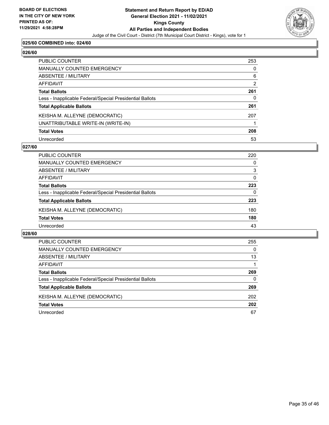

# **025/60 COMBINED into: 024/60**

# **026/60**

| PUBLIC COUNTER                                           | 253 |
|----------------------------------------------------------|-----|
| <b>MANUALLY COUNTED EMERGENCY</b>                        | 0   |
| <b>ABSENTEE / MILITARY</b>                               | 6   |
| <b>AFFIDAVIT</b>                                         | 2   |
| <b>Total Ballots</b>                                     | 261 |
| Less - Inapplicable Federal/Special Presidential Ballots | 0   |
| <b>Total Applicable Ballots</b>                          | 261 |
| KEISHA M. ALLEYNE (DEMOCRATIC)                           | 207 |
| UNATTRIBUTABLE WRITE-IN (WRITE-IN)                       |     |
| <b>Total Votes</b>                                       | 208 |
| Unrecorded                                               | 53  |

### **027/60**

| PUBLIC COUNTER                                           | 220      |
|----------------------------------------------------------|----------|
| <b>MANUALLY COUNTED EMERGENCY</b>                        | $\Omega$ |
| ABSENTEE / MILITARY                                      | 3        |
| AFFIDAVIT                                                | $\Omega$ |
| <b>Total Ballots</b>                                     | 223      |
| Less - Inapplicable Federal/Special Presidential Ballots | 0        |
| <b>Total Applicable Ballots</b>                          | 223      |
| KEISHA M. ALLEYNE (DEMOCRATIC)                           | 180      |
| <b>Total Votes</b>                                       | 180      |
| Unrecorded                                               | 43       |

| <b>PUBLIC COUNTER</b>                                    | 255      |
|----------------------------------------------------------|----------|
| MANUALLY COUNTED EMERGENCY                               | $\Omega$ |
| ABSENTEE / MILITARY                                      | 13       |
| AFFIDAVIT                                                |          |
| <b>Total Ballots</b>                                     | 269      |
| Less - Inapplicable Federal/Special Presidential Ballots | 0        |
| <b>Total Applicable Ballots</b>                          | 269      |
| KEISHA M. ALLEYNE (DEMOCRATIC)                           | 202      |
| <b>Total Votes</b>                                       | 202      |
| Unrecorded                                               | 67       |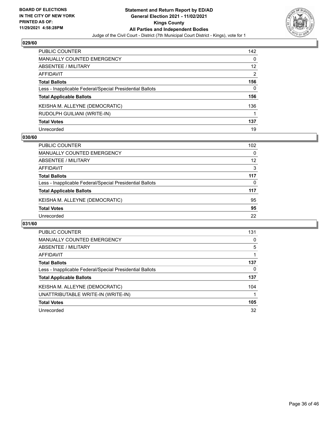

| PUBLIC COUNTER                                           | 142               |
|----------------------------------------------------------|-------------------|
| <b>MANUALLY COUNTED EMERGENCY</b>                        | 0                 |
| ABSENTEE / MILITARY                                      | $12 \overline{ }$ |
| <b>AFFIDAVIT</b>                                         | $\overline{2}$    |
| <b>Total Ballots</b>                                     | 156               |
| Less - Inapplicable Federal/Special Presidential Ballots | 0                 |
| <b>Total Applicable Ballots</b>                          | 156               |
| KEISHA M. ALLEYNE (DEMOCRATIC)                           | 136               |
| RUDOLPH GUILIANI (WRITE-IN)                              |                   |
| <b>Total Votes</b>                                       | 137               |
| Unrecorded                                               | 19                |

### **030/60**

| <b>PUBLIC COUNTER</b>                                    | 102      |
|----------------------------------------------------------|----------|
| MANUALLY COUNTED EMERGENCY                               | $\Omega$ |
| ABSENTEE / MILITARY                                      | 12       |
| AFFIDAVIT                                                | 3        |
| <b>Total Ballots</b>                                     | 117      |
| Less - Inapplicable Federal/Special Presidential Ballots | $\Omega$ |
| <b>Total Applicable Ballots</b>                          | 117      |
| KEISHA M. ALLEYNE (DEMOCRATIC)                           | 95       |
| <b>Total Votes</b>                                       | 95       |
| Unrecorded                                               | 22       |

| PUBLIC COUNTER                                           | 131 |
|----------------------------------------------------------|-----|
| <b>MANUALLY COUNTED EMERGENCY</b>                        | 0   |
| ABSENTEE / MILITARY                                      | 5   |
| AFFIDAVIT                                                |     |
| <b>Total Ballots</b>                                     | 137 |
| Less - Inapplicable Federal/Special Presidential Ballots | 0   |
| <b>Total Applicable Ballots</b>                          | 137 |
| KEISHA M. ALLEYNE (DEMOCRATIC)                           | 104 |
| UNATTRIBUTABLE WRITE-IN (WRITE-IN)                       |     |
| <b>Total Votes</b>                                       | 105 |
| Unrecorded                                               | 32  |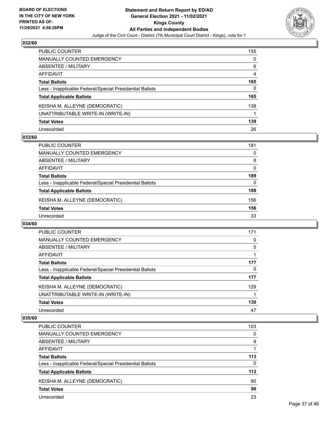

| PUBLIC COUNTER                                           | 155 |
|----------------------------------------------------------|-----|
| <b>MANUALLY COUNTED EMERGENCY</b>                        | 0   |
| <b>ABSENTEE / MILITARY</b>                               | 6   |
| AFFIDAVIT                                                | 4   |
| <b>Total Ballots</b>                                     | 165 |
| Less - Inapplicable Federal/Special Presidential Ballots | 0   |
| <b>Total Applicable Ballots</b>                          | 165 |
| KEISHA M. ALLEYNE (DEMOCRATIC)                           | 138 |
| UNATTRIBUTABLE WRITE-IN (WRITE-IN)                       |     |
| <b>Total Votes</b>                                       | 139 |
| Unrecorded                                               | 26  |

### **033/60**

| <b>PUBLIC COUNTER</b>                                    | 181 |
|----------------------------------------------------------|-----|
| <b>MANUALLY COUNTED EMERGENCY</b>                        | 0   |
| ABSENTEE / MILITARY                                      | 8   |
| AFFIDAVIT                                                | 0   |
| <b>Total Ballots</b>                                     | 189 |
| Less - Inapplicable Federal/Special Presidential Ballots | 0   |
| <b>Total Applicable Ballots</b>                          | 189 |
| KEISHA M. ALLEYNE (DEMOCRATIC)                           | 156 |
| <b>Total Votes</b>                                       | 156 |
| Unrecorded                                               | 33  |

### **034/60**

| PUBLIC COUNTER                                           | 171 |
|----------------------------------------------------------|-----|
| MANUALLY COUNTED EMERGENCY                               | 0   |
| ABSENTEE / MILITARY                                      | 5   |
| AFFIDAVIT                                                |     |
| <b>Total Ballots</b>                                     | 177 |
| Less - Inapplicable Federal/Special Presidential Ballots | 0   |
| <b>Total Applicable Ballots</b>                          | 177 |
| KEISHA M. ALLEYNE (DEMOCRATIC)                           | 129 |
| UNATTRIBUTABLE WRITE-IN (WRITE-IN)                       |     |
| <b>Total Votes</b>                                       | 130 |
| Unrecorded                                               | 47  |

| PUBLIC COUNTER                                           | 103      |
|----------------------------------------------------------|----------|
| MANUALLY COUNTED EMERGENCY                               | $\Omega$ |
| ABSENTEE / MILITARY                                      | 9        |
| AFFIDAVIT                                                |          |
| <b>Total Ballots</b>                                     | 113      |
| Less - Inapplicable Federal/Special Presidential Ballots | $\Omega$ |
| <b>Total Applicable Ballots</b>                          | 113      |
| KEISHA M. ALLEYNE (DEMOCRATIC)                           | 90       |
| <b>Total Votes</b>                                       | 90       |
| Unrecorded                                               | 23       |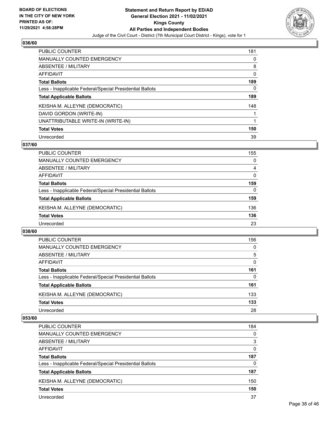

| <b>PUBLIC COUNTER</b>                                    | 181      |
|----------------------------------------------------------|----------|
| <b>MANUALLY COUNTED EMERGENCY</b>                        | $\Omega$ |
| ABSENTEE / MILITARY                                      | 8        |
| <b>AFFIDAVIT</b>                                         | 0        |
| <b>Total Ballots</b>                                     | 189      |
| Less - Inapplicable Federal/Special Presidential Ballots | 0        |
| <b>Total Applicable Ballots</b>                          | 189      |
| KEISHA M. ALLEYNE (DEMOCRATIC)                           | 148      |
| DAVID GORDON (WRITE-IN)                                  |          |
| UNATTRIBUTABLE WRITE-IN (WRITE-IN)                       | 1        |
| <b>Total Votes</b>                                       | 150      |
| Unrecorded                                               | 39       |

### **037/60**

| <b>PUBLIC COUNTER</b>                                    | 155      |
|----------------------------------------------------------|----------|
| MANUALLY COUNTED EMERGENCY                               | $\Omega$ |
| <b>ABSENTEE / MILITARY</b>                               | 4        |
| AFFIDAVIT                                                | $\Omega$ |
| <b>Total Ballots</b>                                     | 159      |
| Less - Inapplicable Federal/Special Presidential Ballots | $\Omega$ |
| <b>Total Applicable Ballots</b>                          | 159      |
| KEISHA M. ALLEYNE (DEMOCRATIC)                           | 136      |
| <b>Total Votes</b>                                       | 136      |
| Unrecorded                                               | 23       |

### **038/60**

| <b>PUBLIC COUNTER</b>                                    | 156      |
|----------------------------------------------------------|----------|
| <b>MANUALLY COUNTED EMERGENCY</b>                        | $\Omega$ |
| ABSENTEE / MILITARY                                      | 5        |
| AFFIDAVIT                                                | $\Omega$ |
| <b>Total Ballots</b>                                     | 161      |
| Less - Inapplicable Federal/Special Presidential Ballots | 0        |
| <b>Total Applicable Ballots</b>                          | 161      |
| KEISHA M. ALLEYNE (DEMOCRATIC)                           | 133      |
| <b>Total Votes</b>                                       | 133      |
| Unrecorded                                               | 28       |

| <b>PUBLIC COUNTER</b>                                    | 184      |
|----------------------------------------------------------|----------|
| <b>MANUALLY COUNTED EMERGENCY</b>                        | $\Omega$ |
| ABSENTEE / MILITARY                                      | 3        |
| AFFIDAVIT                                                | $\Omega$ |
| <b>Total Ballots</b>                                     | 187      |
| Less - Inapplicable Federal/Special Presidential Ballots | $\Omega$ |
| <b>Total Applicable Ballots</b>                          | 187      |
| KEISHA M. ALLEYNE (DEMOCRATIC)                           | 150      |
| <b>Total Votes</b>                                       | 150      |
| Unrecorded                                               | 37       |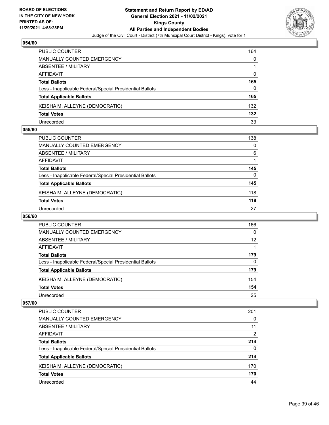

| PUBLIC COUNTER                                           | 164      |
|----------------------------------------------------------|----------|
| MANUALLY COUNTED EMERGENCY                               | 0        |
| ABSENTEE / MILITARY                                      |          |
| AFFIDAVIT                                                | $\Omega$ |
| <b>Total Ballots</b>                                     | 165      |
| Less - Inapplicable Federal/Special Presidential Ballots | 0        |
| <b>Total Applicable Ballots</b>                          | 165      |
| KEISHA M. ALLEYNE (DEMOCRATIC)                           | 132      |
| <b>Total Votes</b>                                       | 132      |
| Unrecorded                                               | 33       |

### **055/60**

| PUBLIC COUNTER                                           | 138 |
|----------------------------------------------------------|-----|
| MANUALLY COUNTED EMERGENCY                               | 0   |
| ABSENTEE / MILITARY                                      | 6   |
| AFFIDAVIT                                                |     |
| <b>Total Ballots</b>                                     | 145 |
| Less - Inapplicable Federal/Special Presidential Ballots | 0   |
| <b>Total Applicable Ballots</b>                          | 145 |
| KEISHA M. ALLEYNE (DEMOCRATIC)                           | 118 |
| <b>Total Votes</b>                                       | 118 |
| Unrecorded                                               | 27  |

# **056/60**

| <b>PUBLIC COUNTER</b>                                    | 166      |
|----------------------------------------------------------|----------|
| MANUALLY COUNTED EMERGENCY                               | $\Omega$ |
| ABSENTEE / MILITARY                                      | 12       |
| AFFIDAVIT                                                |          |
| <b>Total Ballots</b>                                     | 179      |
| Less - Inapplicable Federal/Special Presidential Ballots | $\Omega$ |
| <b>Total Applicable Ballots</b>                          | 179      |
| KEISHA M. ALLEYNE (DEMOCRATIC)                           | 154      |
| <b>Total Votes</b>                                       | 154      |
| Unrecorded                                               | 25       |

| PUBLIC COUNTER                                           | 201      |
|----------------------------------------------------------|----------|
| <b>MANUALLY COUNTED EMERGENCY</b>                        | 0        |
| ABSENTEE / MILITARY                                      | 11       |
| AFFIDAVIT                                                | 2        |
| <b>Total Ballots</b>                                     | 214      |
| Less - Inapplicable Federal/Special Presidential Ballots | $\Omega$ |
| <b>Total Applicable Ballots</b>                          | 214      |
| KEISHA M. ALLEYNE (DEMOCRATIC)                           | 170      |
| <b>Total Votes</b>                                       | 170      |
| Unrecorded                                               | 44       |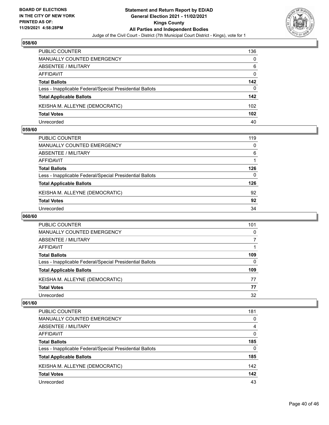

| PUBLIC COUNTER                                           | 136      |
|----------------------------------------------------------|----------|
| <b>MANUALLY COUNTED EMERGENCY</b>                        | 0        |
| ABSENTEE / MILITARY                                      | 6        |
| AFFIDAVIT                                                | $\Omega$ |
| <b>Total Ballots</b>                                     | 142      |
| Less - Inapplicable Federal/Special Presidential Ballots | 0        |
| <b>Total Applicable Ballots</b>                          | 142      |
| KEISHA M. ALLEYNE (DEMOCRATIC)                           | 102      |
| <b>Total Votes</b>                                       | 102      |
| Unrecorded                                               | 40       |

### **059/60**

| PUBLIC COUNTER                                           | 119 |
|----------------------------------------------------------|-----|
| <b>MANUALLY COUNTED EMERGENCY</b>                        | 0   |
| ABSENTEE / MILITARY                                      | 6   |
| AFFIDAVIT                                                |     |
| <b>Total Ballots</b>                                     | 126 |
| Less - Inapplicable Federal/Special Presidential Ballots | 0   |
| <b>Total Applicable Ballots</b>                          | 126 |
| KEISHA M. ALLEYNE (DEMOCRATIC)                           | 92  |
| <b>Total Votes</b>                                       | 92  |
| Unrecorded                                               | 34  |
|                                                          |     |

# **060/60**

| <b>PUBLIC COUNTER</b>                                    | 101 |
|----------------------------------------------------------|-----|
| <b>MANUALLY COUNTED EMERGENCY</b>                        | 0   |
| ABSENTEE / MILITARY                                      |     |
| AFFIDAVIT                                                |     |
| <b>Total Ballots</b>                                     | 109 |
| Less - Inapplicable Federal/Special Presidential Ballots | 0   |
| <b>Total Applicable Ballots</b>                          | 109 |
| KEISHA M. ALLEYNE (DEMOCRATIC)                           | 77  |
| <b>Total Votes</b>                                       | 77  |
| Unrecorded                                               | 32  |

| <b>PUBLIC COUNTER</b>                                    | 181      |
|----------------------------------------------------------|----------|
| <b>MANUALLY COUNTED EMERGENCY</b>                        | 0        |
| ABSENTEE / MILITARY                                      | 4        |
| AFFIDAVIT                                                | $\Omega$ |
| <b>Total Ballots</b>                                     | 185      |
| Less - Inapplicable Federal/Special Presidential Ballots | $\Omega$ |
| <b>Total Applicable Ballots</b>                          | 185      |
| KEISHA M. ALLEYNE (DEMOCRATIC)                           | 142      |
| <b>Total Votes</b>                                       | 142      |
| Unrecorded                                               | 43       |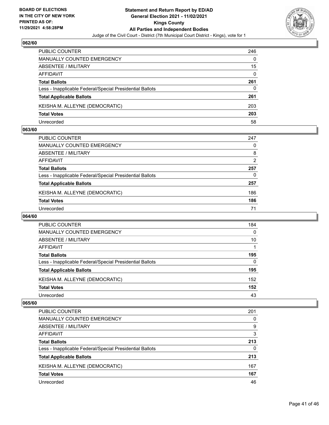

| <b>PUBLIC COUNTER</b>                                    | 246 |
|----------------------------------------------------------|-----|
| <b>MANUALLY COUNTED EMERGENCY</b>                        | 0   |
| ABSENTEE / MILITARY                                      | 15  |
| AFFIDAVIT                                                | 0   |
| <b>Total Ballots</b>                                     | 261 |
| Less - Inapplicable Federal/Special Presidential Ballots | 0   |
| <b>Total Applicable Ballots</b>                          | 261 |
| KEISHA M. ALLEYNE (DEMOCRATIC)                           | 203 |
| <b>Total Votes</b>                                       | 203 |
| Unrecorded                                               | 58  |

### **063/60**

| PUBLIC COUNTER                                           | 247 |
|----------------------------------------------------------|-----|
| <b>MANUALLY COUNTED EMERGENCY</b>                        | 0   |
| ABSENTEE / MILITARY                                      | 8   |
| AFFIDAVIT                                                | 2   |
| <b>Total Ballots</b>                                     | 257 |
| Less - Inapplicable Federal/Special Presidential Ballots | 0   |
| <b>Total Applicable Ballots</b>                          | 257 |
| KEISHA M. ALLEYNE (DEMOCRATIC)                           | 186 |
| <b>Total Votes</b>                                       | 186 |
| Unrecorded                                               | 71  |
|                                                          |     |

# **064/60**

| <b>PUBLIC COUNTER</b>                                    | 184      |
|----------------------------------------------------------|----------|
| MANUALLY COUNTED EMERGENCY                               | $\Omega$ |
| ABSENTEE / MILITARY                                      | 10       |
| AFFIDAVIT                                                |          |
| <b>Total Ballots</b>                                     | 195      |
| Less - Inapplicable Federal/Special Presidential Ballots | $\Omega$ |
| <b>Total Applicable Ballots</b>                          | 195      |
| KEISHA M. ALLEYNE (DEMOCRATIC)                           | 152      |
| <b>Total Votes</b>                                       | 152      |
| Unrecorded                                               | 43       |

| PUBLIC COUNTER                                           | 201 |
|----------------------------------------------------------|-----|
| <b>MANUALLY COUNTED EMERGENCY</b>                        | 0   |
| ABSENTEE / MILITARY                                      | 9   |
| AFFIDAVIT                                                | 3   |
| <b>Total Ballots</b>                                     | 213 |
| Less - Inapplicable Federal/Special Presidential Ballots | 0   |
| <b>Total Applicable Ballots</b>                          | 213 |
| KEISHA M. ALLEYNE (DEMOCRATIC)                           | 167 |
| <b>Total Votes</b>                                       | 167 |
| Unrecorded                                               | 46  |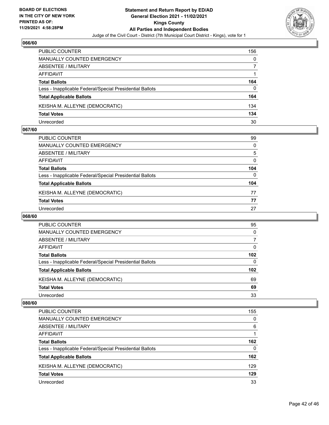

| <b>PUBLIC COUNTER</b>                                    | 156 |
|----------------------------------------------------------|-----|
| MANUALLY COUNTED EMERGENCY                               | 0   |
| ABSENTEE / MILITARY                                      |     |
| AFFIDAVIT                                                |     |
| <b>Total Ballots</b>                                     | 164 |
| Less - Inapplicable Federal/Special Presidential Ballots | 0   |
| <b>Total Applicable Ballots</b>                          | 164 |
| KEISHA M. ALLEYNE (DEMOCRATIC)                           | 134 |
| <b>Total Votes</b>                                       | 134 |
| Unrecorded                                               | 30  |

### **067/60**

| PUBLIC COUNTER                                           | 99       |
|----------------------------------------------------------|----------|
| <b>MANUALLY COUNTED EMERGENCY</b>                        | $\Omega$ |
| <b>ABSENTEE / MILITARY</b>                               | 5        |
| <b>AFFIDAVIT</b>                                         | $\Omega$ |
| <b>Total Ballots</b>                                     | 104      |
| Less - Inapplicable Federal/Special Presidential Ballots | $\Omega$ |
| <b>Total Applicable Ballots</b>                          | 104      |
| KEISHA M. ALLEYNE (DEMOCRATIC)                           | 77       |
| <b>Total Votes</b>                                       | 77       |
| Unrecorded                                               | 27       |
|                                                          |          |

# **068/60**

| <b>PUBLIC COUNTER</b>                                    | 95               |
|----------------------------------------------------------|------------------|
| MANUALLY COUNTED EMERGENCY                               | $\Omega$         |
| ABSENTEE / MILITARY                                      | 7                |
| AFFIDAVIT                                                | 0                |
| <b>Total Ballots</b>                                     | 102 <sub>2</sub> |
| Less - Inapplicable Federal/Special Presidential Ballots | $\Omega$         |
| <b>Total Applicable Ballots</b>                          | 102              |
| KEISHA M. ALLEYNE (DEMOCRATIC)                           | 69               |
| <b>Total Votes</b>                                       | 69               |
| Unrecorded                                               | 33               |

| PUBLIC COUNTER                                           | 155 |
|----------------------------------------------------------|-----|
| <b>MANUALLY COUNTED EMERGENCY</b>                        | 0   |
| ABSENTEE / MILITARY                                      | 6   |
| AFFIDAVIT                                                |     |
| <b>Total Ballots</b>                                     | 162 |
| Less - Inapplicable Federal/Special Presidential Ballots | 0   |
| <b>Total Applicable Ballots</b>                          | 162 |
| KEISHA M. ALLEYNE (DEMOCRATIC)                           | 129 |
| <b>Total Votes</b>                                       | 129 |
| Unrecorded                                               | 33  |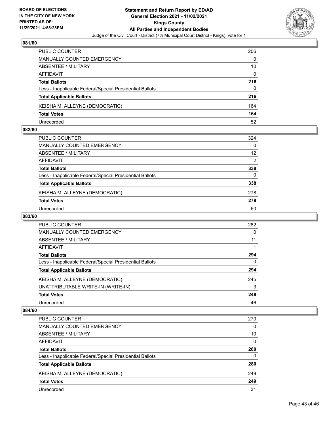

| <b>PUBLIC COUNTER</b>                                    | 206 |
|----------------------------------------------------------|-----|
| <b>MANUALLY COUNTED EMERGENCY</b>                        | 0   |
| ABSENTEE / MILITARY                                      | 10  |
| AFFIDAVIT                                                | 0   |
| <b>Total Ballots</b>                                     | 216 |
| Less - Inapplicable Federal/Special Presidential Ballots | 0   |
| <b>Total Applicable Ballots</b>                          | 216 |
| KEISHA M. ALLEYNE (DEMOCRATIC)                           | 164 |
| <b>Total Votes</b>                                       | 164 |
| Unrecorded                                               | 52  |

### **082/60**

| PUBLIC COUNTER                                           | 324           |
|----------------------------------------------------------|---------------|
| <b>MANUALLY COUNTED EMERGENCY</b>                        | $\Omega$      |
| <b>ABSENTEE / MILITARY</b>                               | 12            |
| AFFIDAVIT                                                | $\mathcal{P}$ |
| <b>Total Ballots</b>                                     | 338           |
| Less - Inapplicable Federal/Special Presidential Ballots | $\Omega$      |
| <b>Total Applicable Ballots</b>                          | 338           |
| KEISHA M. ALLEYNE (DEMOCRATIC)                           | 278           |
| <b>Total Votes</b>                                       | 278           |
| Unrecorded                                               | 60            |

# **083/60**

| <b>PUBLIC COUNTER</b>                                    | 282      |
|----------------------------------------------------------|----------|
| <b>MANUALLY COUNTED EMERGENCY</b>                        | 0        |
| ABSENTEE / MILITARY                                      | 11       |
| AFFIDAVIT                                                |          |
| <b>Total Ballots</b>                                     | 294      |
| Less - Inapplicable Federal/Special Presidential Ballots | $\Omega$ |
| <b>Total Applicable Ballots</b>                          | 294      |
| KEISHA M. ALLEYNE (DEMOCRATIC)                           | 245      |
| UNATTRIBUTABLE WRITE-IN (WRITE-IN)                       | 3        |
| <b>Total Votes</b>                                       | 248      |
| Unrecorded                                               | 46       |

| PUBLIC COUNTER                                           | 270      |
|----------------------------------------------------------|----------|
| <b>MANUALLY COUNTED EMERGENCY</b>                        | $\Omega$ |
| ABSENTEE / MILITARY                                      | 10       |
| AFFIDAVIT                                                | $\Omega$ |
| <b>Total Ballots</b>                                     | 280      |
| Less - Inapplicable Federal/Special Presidential Ballots | $\Omega$ |
| <b>Total Applicable Ballots</b>                          | 280      |
| KEISHA M. ALLEYNE (DEMOCRATIC)                           | 249      |
| <b>Total Votes</b>                                       | 249      |
| Unrecorded                                               | 31       |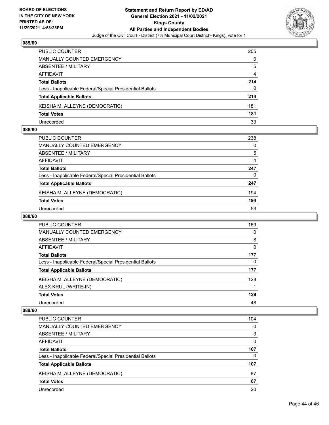

| <b>PUBLIC COUNTER</b>                                    | 205 |
|----------------------------------------------------------|-----|
| <b>MANUALLY COUNTED EMERGENCY</b>                        | 0   |
| ABSENTEE / MILITARY                                      | 5   |
| AFFIDAVIT                                                | 4   |
| <b>Total Ballots</b>                                     | 214 |
| Less - Inapplicable Federal/Special Presidential Ballots | 0   |
| <b>Total Applicable Ballots</b>                          | 214 |
| KEISHA M. ALLEYNE (DEMOCRATIC)                           | 181 |
| <b>Total Votes</b>                                       | 181 |
| Unrecorded                                               | 33  |

### **086/60**

| PUBLIC COUNTER                                           | 238 |
|----------------------------------------------------------|-----|
| <b>MANUALLY COUNTED EMERGENCY</b>                        | 0   |
| ABSENTEE / MILITARY                                      | 5   |
| AFFIDAVIT                                                | 4   |
| <b>Total Ballots</b>                                     | 247 |
| Less - Inapplicable Federal/Special Presidential Ballots | 0   |
| <b>Total Applicable Ballots</b>                          | 247 |
| KEISHA M. ALLEYNE (DEMOCRATIC)                           | 194 |
| <b>Total Votes</b>                                       | 194 |
| Unrecorded                                               | 53  |

# **088/60**

| <b>PUBLIC COUNTER</b>                                    | 169 |
|----------------------------------------------------------|-----|
| MANUALLY COUNTED EMERGENCY                               | 0   |
| ABSENTEE / MILITARY                                      | 8   |
| AFFIDAVIT                                                | 0   |
| <b>Total Ballots</b>                                     | 177 |
| Less - Inapplicable Federal/Special Presidential Ballots | 0   |
| <b>Total Applicable Ballots</b>                          | 177 |
| KEISHA M. ALLEYNE (DEMOCRATIC)                           | 128 |
| ALEX KRUL (WRITE-IN)                                     |     |
| <b>Total Votes</b>                                       | 129 |
| Unrecorded                                               | 48  |

| PUBLIC COUNTER                                           | 104      |
|----------------------------------------------------------|----------|
| <b>MANUALLY COUNTED EMERGENCY</b>                        | $\Omega$ |
| ABSENTEE / MILITARY                                      | 3        |
| AFFIDAVIT                                                | 0        |
| <b>Total Ballots</b>                                     | 107      |
| Less - Inapplicable Federal/Special Presidential Ballots | 0        |
| <b>Total Applicable Ballots</b>                          | 107      |
| KEISHA M. ALLEYNE (DEMOCRATIC)                           | 87       |
| <b>Total Votes</b>                                       | 87       |
| Unrecorded                                               | 20       |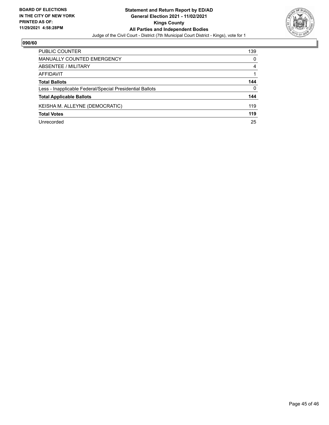

| PUBLIC COUNTER                                           | 139      |
|----------------------------------------------------------|----------|
| <b>MANUALLY COUNTED EMERGENCY</b>                        | $\Omega$ |
| ABSENTEE / MILITARY                                      | 4        |
| AFFIDAVIT                                                |          |
| <b>Total Ballots</b>                                     | 144      |
| Less - Inapplicable Federal/Special Presidential Ballots | $\Omega$ |
| <b>Total Applicable Ballots</b>                          | 144      |
| KEISHA M. ALLEYNE (DEMOCRATIC)                           | 119      |
| <b>Total Votes</b>                                       | 119      |
| Unrecorded                                               | 25       |